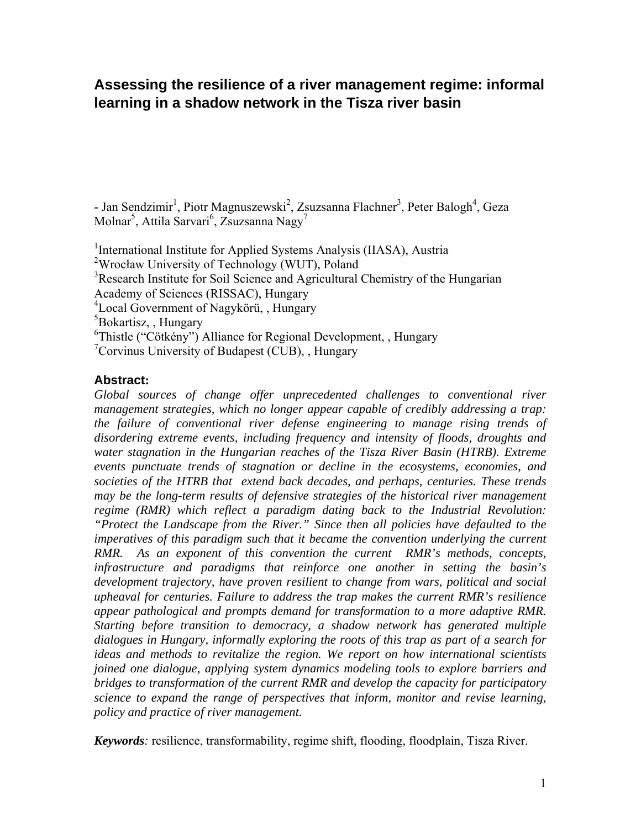# **Assessing the resilience of a river management regime: informal learning in a shadow network in the Tisza river basin**

- Jan Sendzimir<sup>1</sup>, Piotr Magnuszewski<sup>2</sup>, Zsuzsanna Flachner<sup>3</sup>, Peter Balogh<sup>4</sup>, Geza Molnar<sup>5</sup>, Attila Sarvari<sup>6</sup>, Zsuzsanna Nagy<sup>7</sup>

<sup>1</sup>International Institute for Applied Systems Analysis (IIASA), Austria <sup>2</sup>Wrocław University of Technology (WUT), Poland <sup>3</sup>Research Institute for Soil Science and Agricultural Chemistry of the Hungarian Academy of Sciences (RISSAC), Hungary 4 Local Government of Nagykörü, , Hungary <sup>5</sup>Bokartisz, , Hungary <sup>6</sup>Thistle ("Cötkény") Alliance for Regional Development, , Hungary

7 Corvinus University of Budapest (CUB), , Hungary

#### **Abstract:**

Global sources of change offer unprecedented challenges to conventional river *management strategies, which no longer appear capable of credibly addressing a trap: the failure of conventional river defense engineering to manage rising trends of disordering extreme events, including frequency and intensity of floods, droughts and*  water stagnation in the Hungarian reaches of the Tisza River Basin (HTRB). Extreme *events punctuate trends of stagnation or decline in the ecosystems, economies, and societies of the HTRB that extend back decades, and perhaps, centuries. These trends may be the long-term results of defensive strategies of the historical river management regime (RMR) which reflect a paradigm dating back to the Industrial Revolution: "Protect the Landscape from the River." Since then all policies have defaulted to the imperatives of this paradigm such that it became the convention underlying the current RMR. As an exponent of this convention the current RMR's methods, concepts, infrastructure and paradigms that reinforce one another in setting the basin's development trajectory, have proven resilient to change from wars, political and social upheaval for centuries. Failure to address the trap makes the current RMR's resilience appear pathological and prompts demand for transformation to a more adaptive RMR. Starting before transition to democracy, a shadow network has generated multiple dialogues in Hungary, informally exploring the roots of this trap as part of a search for ideas and methods to revitalize the region. We report on how international scientists joined one dialogue, applying system dynamics modeling tools to explore barriers and bridges to transformation of the current RMR and develop the capacity for participatory science to expand the range of perspectives that inform, monitor and revise learning, policy and practice of river management.* 

*Keywords:* resilience, transformability, regime shift, flooding, floodplain, Tisza River.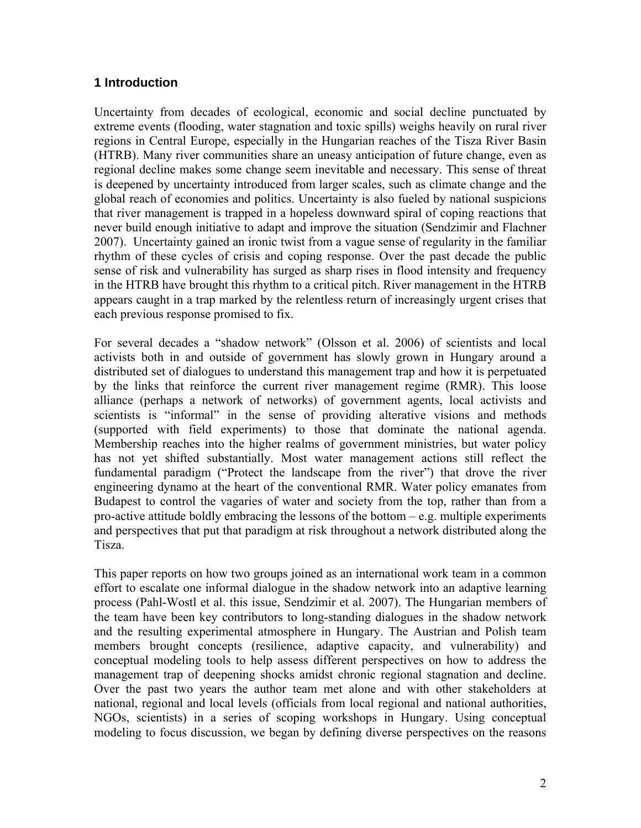# **1 Introduction**

Uncertainty from decades of ecological, economic and social decline punctuated by extreme events (flooding, water stagnation and toxic spills) weighs heavily on rural river regions in Central Europe, especially in the Hungarian reaches of the Tisza River Basin (HTRB). Many river communities share an uneasy anticipation of future change, even as regional decline makes some change seem inevitable and necessary. This sense of threat is deepened by uncertainty introduced from larger scales, such as climate change and the global reach of economies and politics. Uncertainty is also fueled by national suspicions that river management is trapped in a hopeless downward spiral of coping reactions that never build enough initiative to adapt and improve the situation (Sendzimir and Flachner 2007). Uncertainty gained an ironic twist from a vague sense of regularity in the familiar rhythm of these cycles of crisis and coping response. Over the past decade the public sense of risk and vulnerability has surged as sharp rises in flood intensity and frequency in the HTRB have brought this rhythm to a critical pitch. River management in the HTRB appears caught in a trap marked by the relentless return of increasingly urgent crises that each previous response promised to fix.

For several decades a "shadow network" (Olsson et al. 2006) of scientists and local activists both in and outside of government has slowly grown in Hungary around a distributed set of dialogues to understand this management trap and how it is perpetuated by the links that reinforce the current river management regime (RMR). This loose alliance (perhaps a network of networks) of government agents, local activists and scientists is "informal" in the sense of providing alterative visions and methods (supported with field experiments) to those that dominate the national agenda. Membership reaches into the higher realms of government ministries, but water policy has not yet shifted substantially. Most water management actions still reflect the fundamental paradigm ("Protect the landscape from the river") that drove the river engineering dynamo at the heart of the conventional RMR. Water policy emanates from Budapest to control the vagaries of water and society from the top, rather than from a pro-active attitude boldly embracing the lessons of the bottom  $-e.g.$  multiple experiments and perspectives that put that paradigm at risk throughout a network distributed along the Tisza.

This paper reports on how two groups joined as an international work team in a common effort to escalate one informal dialogue in the shadow network into an adaptive learning process (Pahl-Wostl et al. this issue, Sendzimir et al. 2007). The Hungarian members of the team have been key contributors to long-standing dialogues in the shadow network and the resulting experimental atmosphere in Hungary. The Austrian and Polish team members brought concepts (resilience, adaptive capacity, and vulnerability) and conceptual modeling tools to help assess different perspectives on how to address the management trap of deepening shocks amidst chronic regional stagnation and decline. Over the past two years the author team met alone and with other stakeholders at national, regional and local levels (officials from local regional and national authorities, NGOs, scientists) in a series of scoping workshops in Hungary. Using conceptual modeling to focus discussion, we began by defining diverse perspectives on the reasons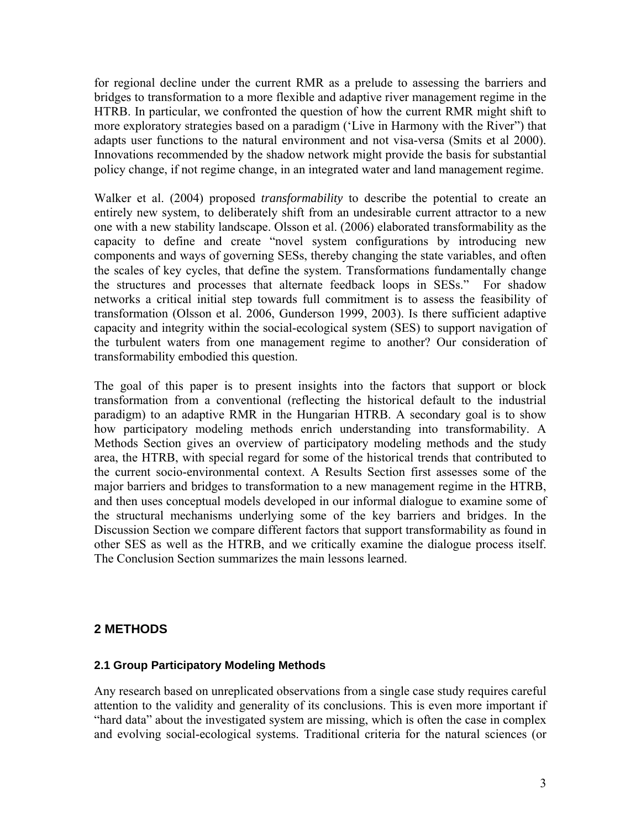for regional decline under the current RMR as a prelude to assessing the barriers and bridges to transformation to a more flexible and adaptive river management regime in the HTRB. In particular, we confronted the question of how the current RMR might shift to more exploratory strategies based on a paradigm ('Live in Harmony with the River") that adapts user functions to the natural environment and not visa-versa (Smits et al 2000). Innovations recommended by the shadow network might provide the basis for substantial policy change, if not regime change, in an integrated water and land management regime.

Walker et al. (2004) proposed *transformability* to describe the potential to create an entirely new system, to deliberately shift from an undesirable current attractor to a new one with a new stability landscape. Olsson et al. (2006) elaborated transformability as the capacity to define and create "novel system configurations by introducing new components and ways of governing SESs, thereby changing the state variables, and often the scales of key cycles, that define the system. Transformations fundamentally change the structures and processes that alternate feedback loops in SESs." For shadow networks a critical initial step towards full commitment is to assess the feasibility of transformation (Olsson et al. 2006, Gunderson 1999, 2003). Is there sufficient adaptive capacity and integrity within the social-ecological system (SES) to support navigation of the turbulent waters from one management regime to another? Our consideration of transformability embodied this question.

The goal of this paper is to present insights into the factors that support or block transformation from a conventional (reflecting the historical default to the industrial paradigm) to an adaptive RMR in the Hungarian HTRB. A secondary goal is to show how participatory modeling methods enrich understanding into transformability. A Methods Section gives an overview of participatory modeling methods and the study area, the HTRB, with special regard for some of the historical trends that contributed to the current socio-environmental context. A Results Section first assesses some of the major barriers and bridges to transformation to a new management regime in the HTRB, and then uses conceptual models developed in our informal dialogue to examine some of the structural mechanisms underlying some of the key barriers and bridges. In the Discussion Section we compare different factors that support transformability as found in other SES as well as the HTRB, and we critically examine the dialogue process itself. The Conclusion Section summarizes the main lessons learned.

# **2 METHODS**

#### **2.1 Group Participatory Modeling Methods**

Any research based on unreplicated observations from a single case study requires careful attention to the validity and generality of its conclusions. This is even more important if "hard data" about the investigated system are missing, which is often the case in complex and evolving social-ecological systems. Traditional criteria for the natural sciences (or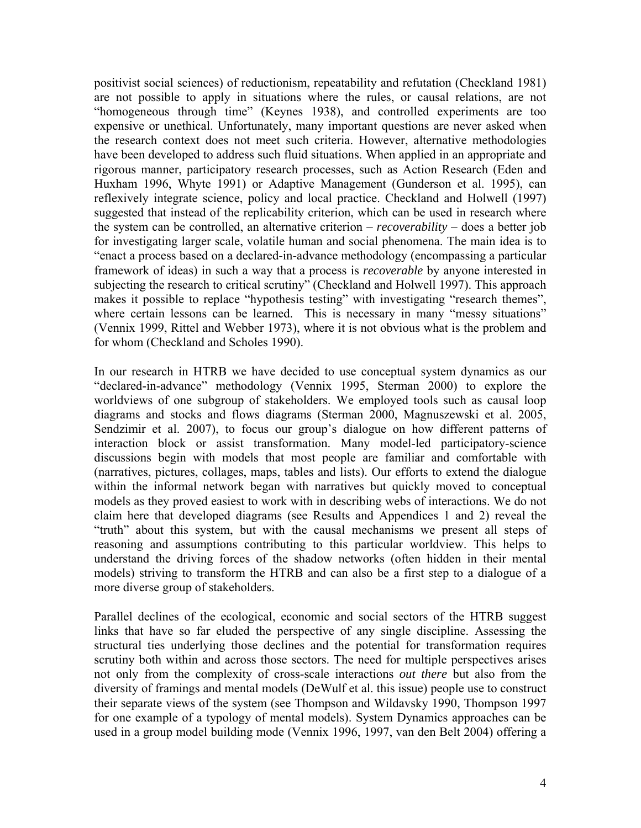positivist social sciences) of reductionism, repeatability and refutation (Checkland 1981) are not possible to apply in situations where the rules, or causal relations, are not "homogeneous through time" (Keynes 1938), and controlled experiments are too expensive or unethical. Unfortunately, many important questions are never asked when the research context does not meet such criteria. However, alternative methodologies have been developed to address such fluid situations. When applied in an appropriate and rigorous manner, participatory research processes, such as Action Research (Eden and Huxham 1996, Whyte 1991) or Adaptive Management (Gunderson et al. 1995), can reflexively integrate science, policy and local practice. Checkland and Holwell (1997) suggested that instead of the replicability criterion, which can be used in research where the system can be controlled, an alternative criterion – *recoverability* – does a better job for investigating larger scale, volatile human and social phenomena. The main idea is to "enact a process based on a declared-in-advance methodology (encompassing a particular framework of ideas) in such a way that a process is *recoverable* by anyone interested in subjecting the research to critical scrutiny" (Checkland and Holwell 1997). This approach makes it possible to replace "hypothesis testing" with investigating "research themes", where certain lessons can be learned. This is necessary in many "messy situations" (Vennix 1999, Rittel and Webber 1973), where it is not obvious what is the problem and for whom (Checkland and Scholes 1990).

In our research in HTRB we have decided to use conceptual system dynamics as our "declared-in-advance" methodology (Vennix 1995, Sterman 2000) to explore the worldviews of one subgroup of stakeholders. We employed tools such as causal loop diagrams and stocks and flows diagrams (Sterman 2000, Magnuszewski et al. 2005, Sendzimir et al. 2007), to focus our group's dialogue on how different patterns of interaction block or assist transformation. Many model-led participatory-science discussions begin with models that most people are familiar and comfortable with (narratives, pictures, collages, maps, tables and lists). Our efforts to extend the dialogue within the informal network began with narratives but quickly moved to conceptual models as they proved easiest to work with in describing webs of interactions. We do not claim here that developed diagrams (see Results and Appendices 1 and 2) reveal the "truth" about this system, but with the causal mechanisms we present all steps of reasoning and assumptions contributing to this particular worldview. This helps to understand the driving forces of the shadow networks (often hidden in their mental models) striving to transform the HTRB and can also be a first step to a dialogue of a more diverse group of stakeholders.

Parallel declines of the ecological, economic and social sectors of the HTRB suggest links that have so far eluded the perspective of any single discipline. Assessing the structural ties underlying those declines and the potential for transformation requires scrutiny both within and across those sectors. The need for multiple perspectives arises not only from the complexity of cross-scale interactions *out there* but also from the diversity of framings and mental models (DeWulf et al. this issue) people use to construct their separate views of the system (see Thompson and Wildavsky 1990, Thompson 1997 for one example of a typology of mental models). System Dynamics approaches can be used in a group model building mode (Vennix 1996, 1997, van den Belt 2004) offering a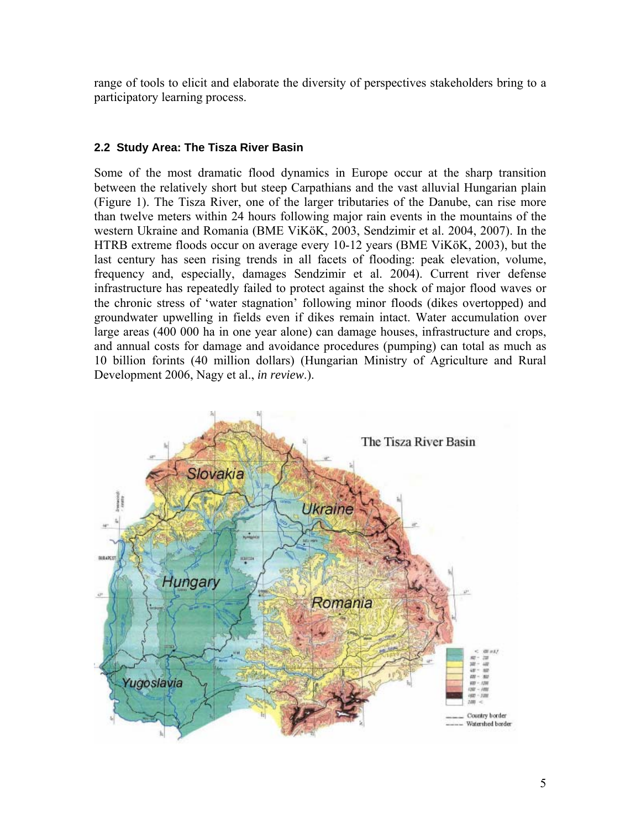range of tools to elicit and elaborate the diversity of perspectives stakeholders bring to a participatory learning process.

## **2.2 Study Area: The Tisza River Basin**

Some of the most dramatic flood dynamics in Europe occur at the sharp transition between the relatively short but steep Carpathians and the vast alluvial Hungarian plain (Figure 1). The Tisza River, one of the larger tributaries of the Danube, can rise more than twelve meters within 24 hours following major rain events in the mountains of the western Ukraine and Romania (BME ViKöK, 2003, Sendzimir et al. 2004, 2007). In the HTRB extreme floods occur on average every 10-12 years (BME ViKöK, 2003), but the last century has seen rising trends in all facets of flooding: peak elevation, volume, frequency and, especially, damages Sendzimir et al. 2004). Current river defense infrastructure has repeatedly failed to protect against the shock of major flood waves or the chronic stress of 'water stagnation' following minor floods (dikes overtopped) and groundwater upwelling in fields even if dikes remain intact. Water accumulation over large areas (400 000 ha in one year alone) can damage houses, infrastructure and crops, and annual costs for damage and avoidance procedures (pumping) can total as much as 10 billion forints (40 million dollars) (Hungarian Ministry of Agriculture and Rural Development 2006, Nagy et al., *in review*.).

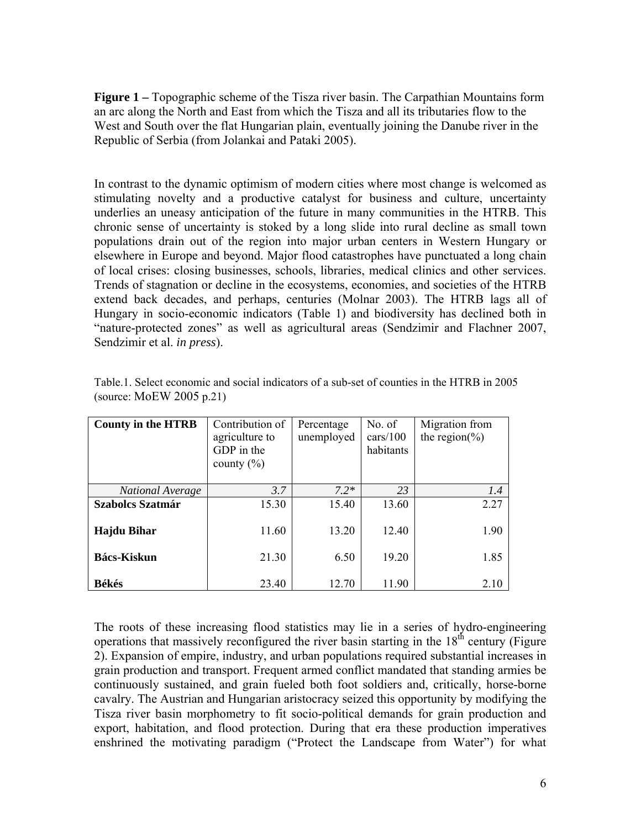**Figure 1 –** Topographic scheme of the Tisza river basin. The Carpathian Mountains form an arc along the North and East from which the Tisza and all its tributaries flow to the West and South over the flat Hungarian plain, eventually joining the Danube river in the Republic of Serbia (from Jolankai and Pataki 2005).

In contrast to the dynamic optimism of modern cities where most change is welcomed as stimulating novelty and a productive catalyst for business and culture, uncertainty underlies an uneasy anticipation of the future in many communities in the HTRB. This chronic sense of uncertainty is stoked by a long slide into rural decline as small town populations drain out of the region into major urban centers in Western Hungary or elsewhere in Europe and beyond. Major flood catastrophes have punctuated a long chain of local crises: closing businesses, schools, libraries, medical clinics and other services. Trends of stagnation or decline in the ecosystems, economies, and societies of the HTRB extend back decades, and perhaps, centuries (Molnar 2003). The HTRB lags all of Hungary in socio-economic indicators (Table 1) and biodiversity has declined both in "nature-protected zones" as well as agricultural areas (Sendzimir and Flachner 2007, Sendzimir et al. *in press*).

| <b>County in the HTRB</b> | Contribution of<br>agriculture to<br>GDP in the<br>county $(\% )$ | Percentage<br>unemployed | No. of<br>cars/100<br>habitants | Migration from<br>the region $(\% )$ |
|---------------------------|-------------------------------------------------------------------|--------------------------|---------------------------------|--------------------------------------|
|                           |                                                                   |                          |                                 |                                      |
| <b>National Average</b>   | 3.7                                                               | $7.2*$                   | 23                              | 1.4                                  |
| <b>Szabolcs Szatmár</b>   | 15.30                                                             | 15.40                    | 13.60                           | 2.27                                 |
| Hajdu Bihar               | 11.60                                                             | 13.20                    | 12.40                           | 1.90                                 |
| Bács-Kiskun               | 21.30                                                             | 6.50                     | 19.20                           | 1.85                                 |
| <b>Békés</b>              | 23.40                                                             | 12.70                    | 11.90                           | 2.10                                 |

Table.1. Select economic and social indicators of a sub-set of counties in the HTRB in 2005 (source: MoEW 2005 p.21)

The roots of these increasing flood statistics may lie in a series of hydro-engineering operations that massively reconfigured the river basin starting in the  $18<sup>th</sup>$  century (Figure 2). Expansion of empire, industry, and urban populations required substantial increases in grain production and transport. Frequent armed conflict mandated that standing armies be continuously sustained, and grain fueled both foot soldiers and, critically, horse-borne cavalry. The Austrian and Hungarian aristocracy seized this opportunity by modifying the Tisza river basin morphometry to fit socio-political demands for grain production and export, habitation, and flood protection. During that era these production imperatives enshrined the motivating paradigm ("Protect the Landscape from Water") for what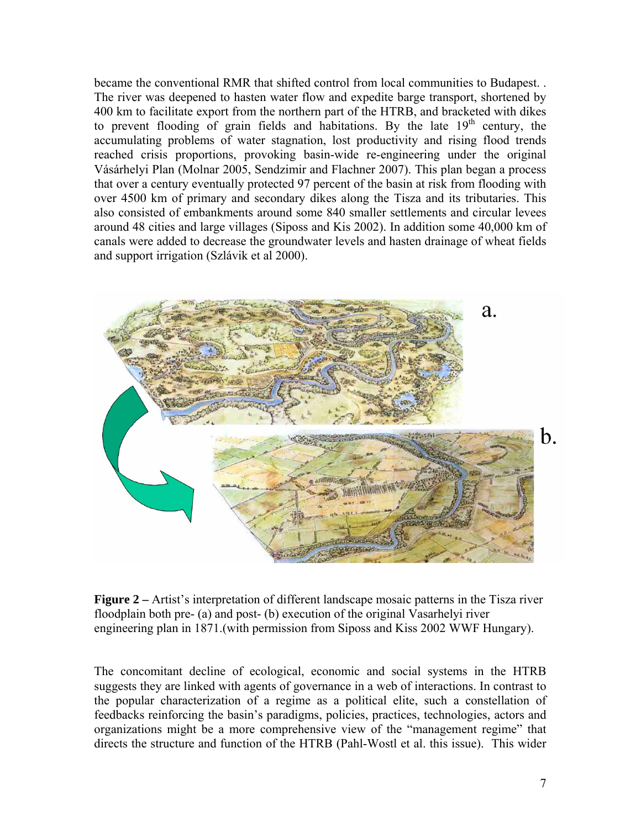became the conventional RMR that shifted control from local communities to Budapest. . The river was deepened to hasten water flow and expedite barge transport, shortened by 400 km to facilitate export from the northern part of the HTRB, and bracketed with dikes to prevent flooding of grain fields and habitations. By the late  $19<sup>th</sup>$  century, the accumulating problems of water stagnation, lost productivity and rising flood trends reached crisis proportions, provoking basin-wide re-engineering under the original Vásárhelyi Plan (Molnar 2005, Sendzimir and Flachner 2007). This plan began a process that over a century eventually protected 97 percent of the basin at risk from flooding with over 4500 km of primary and secondary dikes along the Tisza and its tributaries. This also consisted of embankments around some 840 smaller settlements and circular levees around 48 cities and large villages (Siposs and Kis 2002). In addition some 40,000 km of canals were added to decrease the groundwater levels and hasten drainage of wheat fields and support irrigation (Szlávik et al 2000).



**Figure 2 –** Artist's interpretation of different landscape mosaic patterns in the Tisza river floodplain both pre- (a) and post- (b) execution of the original Vasarhelyi river engineering plan in 1871.(with permission from Siposs and Kiss 2002 WWF Hungary).

The concomitant decline of ecological, economic and social systems in the HTRB suggests they are linked with agents of governance in a web of interactions. In contrast to the popular characterization of a regime as a political elite, such a constellation of feedbacks reinforcing the basin's paradigms, policies, practices, technologies, actors and organizations might be a more comprehensive view of the "management regime" that directs the structure and function of the HTRB (Pahl-Wostl et al. this issue). This wider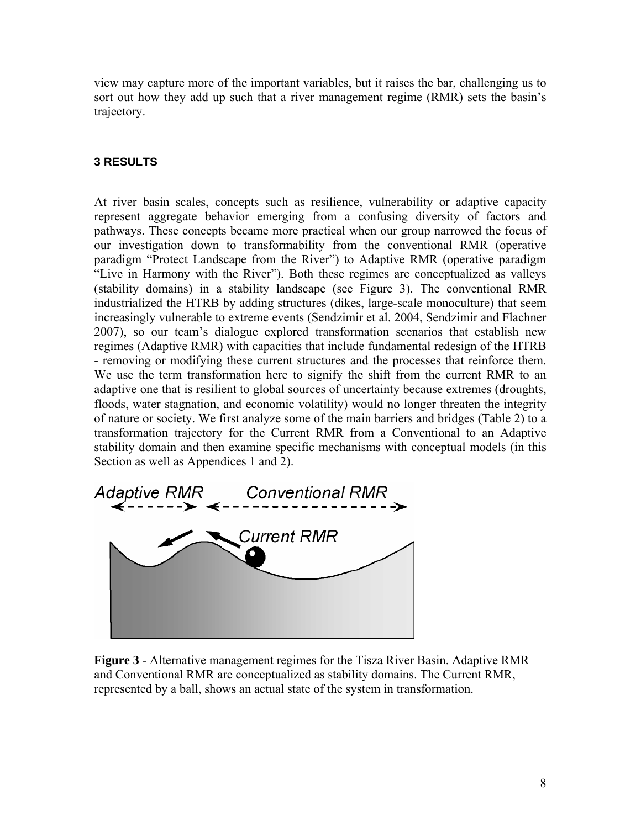view may capture more of the important variables, but it raises the bar, challenging us to sort out how they add up such that a river management regime (RMR) sets the basin's trajectory.

#### **3 RESULTS**

At river basin scales, concepts such as resilience, vulnerability or adaptive capacity represent aggregate behavior emerging from a confusing diversity of factors and pathways. These concepts became more practical when our group narrowed the focus of our investigation down to transformability from the conventional RMR (operative paradigm "Protect Landscape from the River") to Adaptive RMR (operative paradigm "Live in Harmony with the River"). Both these regimes are conceptualized as valleys (stability domains) in a stability landscape (see Figure 3). The conventional RMR industrialized the HTRB by adding structures (dikes, large-scale monoculture) that seem increasingly vulnerable to extreme events (Sendzimir et al. 2004, Sendzimir and Flachner 2007), so our team's dialogue explored transformation scenarios that establish new regimes (Adaptive RMR) with capacities that include fundamental redesign of the HTRB - removing or modifying these current structures and the processes that reinforce them. We use the term transformation here to signify the shift from the current RMR to an adaptive one that is resilient to global sources of uncertainty because extremes (droughts, floods, water stagnation, and economic volatility) would no longer threaten the integrity of nature or society. We first analyze some of the main barriers and bridges (Table 2) to a transformation trajectory for the Current RMR from a Conventional to an Adaptive stability domain and then examine specific mechanisms with conceptual models (in this Section as well as Appendices 1 and 2).



**Figure 3** - Alternative management regimes for the Tisza River Basin. Adaptive RMR and Conventional RMR are conceptualized as stability domains. The Current RMR, represented by a ball, shows an actual state of the system in transformation.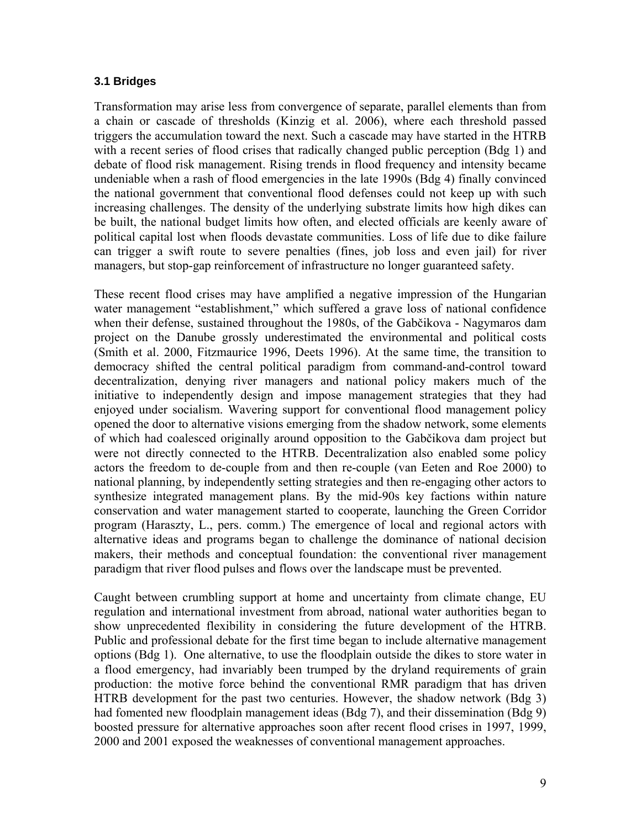#### **3.1 Bridges**

Transformation may arise less from convergence of separate, parallel elements than from a chain or cascade of thresholds (Kinzig et al. 2006), where each threshold passed triggers the accumulation toward the next. Such a cascade may have started in the HTRB with a recent series of flood crises that radically changed public perception (Bdg 1) and debate of flood risk management. Rising trends in flood frequency and intensity became undeniable when a rash of flood emergencies in the late 1990s (Bdg 4) finally convinced the national government that conventional flood defenses could not keep up with such increasing challenges. The density of the underlying substrate limits how high dikes can be built, the national budget limits how often, and elected officials are keenly aware of political capital lost when floods devastate communities. Loss of life due to dike failure can trigger a swift route to severe penalties (fines, job loss and even jail) for river managers, but stop-gap reinforcement of infrastructure no longer guaranteed safety.

These recent flood crises may have amplified a negative impression of the Hungarian water management "establishment," which suffered a grave loss of national confidence when their defense, sustained throughout the 1980s, of the Gabčikova - Nagymaros dam project on the Danube grossly underestimated the environmental and political costs (Smith et al. 2000, Fitzmaurice 1996, Deets 1996). At the same time, the transition to democracy shifted the central political paradigm from command-and-control toward decentralization, denying river managers and national policy makers much of the initiative to independently design and impose management strategies that they had enjoyed under socialism. Wavering support for conventional flood management policy opened the door to alternative visions emerging from the shadow network, some elements of which had coalesced originally around opposition to the Gabčikova dam project but were not directly connected to the HTRB. Decentralization also enabled some policy actors the freedom to de-couple from and then re-couple (van Eeten and Roe 2000) to national planning, by independently setting strategies and then re-engaging other actors to synthesize integrated management plans. By the mid-90s key factions within nature conservation and water management started to cooperate, launching the Green Corridor program (Haraszty, L., pers. comm.) The emergence of local and regional actors with alternative ideas and programs began to challenge the dominance of national decision makers, their methods and conceptual foundation: the conventional river management paradigm that river flood pulses and flows over the landscape must be prevented.

Caught between crumbling support at home and uncertainty from climate change, EU regulation and international investment from abroad, national water authorities began to show unprecedented flexibility in considering the future development of the HTRB. Public and professional debate for the first time began to include alternative management options (Bdg 1). One alternative, to use the floodplain outside the dikes to store water in a flood emergency, had invariably been trumped by the dryland requirements of grain production: the motive force behind the conventional RMR paradigm that has driven HTRB development for the past two centuries. However, the shadow network (Bdg 3) had fomented new floodplain management ideas (Bdg 7), and their dissemination (Bdg 9) boosted pressure for alternative approaches soon after recent flood crises in 1997, 1999, 2000 and 2001 exposed the weaknesses of conventional management approaches.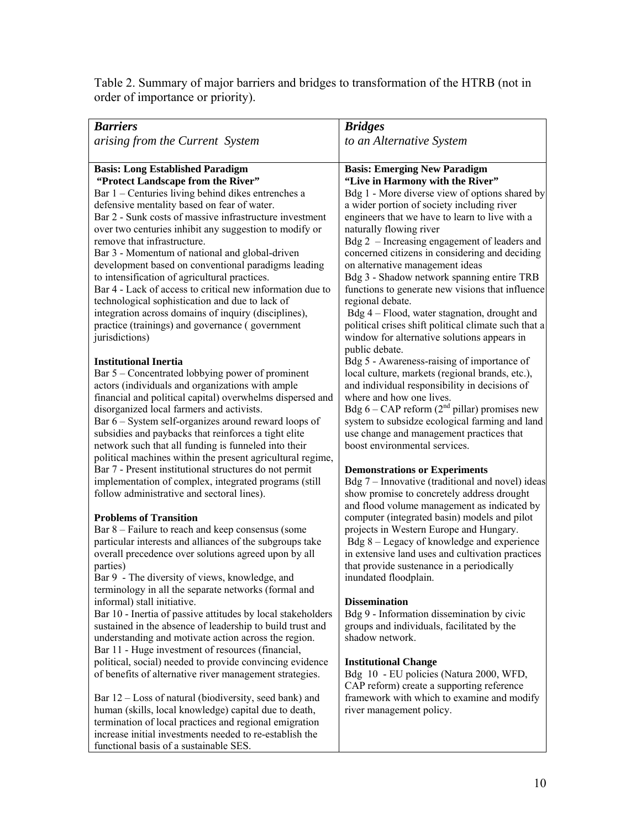Table 2. Summary of major barriers and bridges to transformation of the HTRB (not in order of importance or priority).

| <b>Barriers</b>                                                                                                 | <b>Bridges</b>                                                                           |
|-----------------------------------------------------------------------------------------------------------------|------------------------------------------------------------------------------------------|
| arising from the Current System                                                                                 | to an Alternative System                                                                 |
|                                                                                                                 |                                                                                          |
| <b>Basis: Long Established Paradigm</b>                                                                         | <b>Basis: Emerging New Paradigm</b>                                                      |
| "Protect Landscape from the River"                                                                              | "Live in Harmony with the River"                                                         |
| Bar 1 – Centuries living behind dikes entrenches a                                                              | Bdg 1 - More diverse view of options shared by                                           |
| defensive mentality based on fear of water.                                                                     | a wider portion of society including river                                               |
| Bar 2 - Sunk costs of massive infrastructure investment                                                         | engineers that we have to learn to live with a                                           |
| over two centuries inhibit any suggestion to modify or                                                          | naturally flowing river                                                                  |
| remove that infrastructure.                                                                                     | Bdg 2 - Increasing engagement of leaders and                                             |
| Bar 3 - Momentum of national and global-driven                                                                  | concerned citizens in considering and deciding                                           |
| development based on conventional paradigms leading                                                             | on alternative management ideas                                                          |
| to intensification of agricultural practices.                                                                   | Bdg 3 - Shadow network spanning entire TRB                                               |
| Bar 4 - Lack of access to critical new information due to                                                       | functions to generate new visions that influence                                         |
| technological sophistication and due to lack of                                                                 | regional debate.                                                                         |
| integration across domains of inquiry (disciplines),                                                            | Bdg 4 – Flood, water stagnation, drought and                                             |
| practice (trainings) and governance (government                                                                 | political crises shift political climate such that a                                     |
| jurisdictions)                                                                                                  | window for alternative solutions appears in                                              |
|                                                                                                                 | public debate.                                                                           |
| <b>Institutional Inertia</b>                                                                                    | Bdg 5 - Awareness-raising of importance of                                               |
| Bar 5 - Concentrated lobbying power of prominent                                                                | local culture, markets (regional brands, etc.),                                          |
| actors (individuals and organizations with ample                                                                | and individual responsibility in decisions of                                            |
| financial and political capital) overwhelms dispersed and                                                       | where and how one lives.                                                                 |
| disorganized local farmers and activists.                                                                       | Bdg 6 – CAP reform $(2nd$ pillar) promises new                                           |
| Bar 6 – System self-organizes around reward loops of                                                            | system to subsidze ecological farming and land                                           |
| subsidies and paybacks that reinforces a tight elite                                                            | use change and management practices that                                                 |
| network such that all funding is funneled into their                                                            | boost environmental services.                                                            |
| political machines within the present agricultural regime,                                                      |                                                                                          |
| Bar 7 - Present institutional structures do not permit<br>implementation of complex, integrated programs (still | <b>Demonstrations or Experiments</b><br>Bdg 7 – Innovative (traditional and novel) ideas |
| follow administrative and sectoral lines).                                                                      | show promise to concretely address drought                                               |
|                                                                                                                 | and flood volume management as indicated by                                              |
| <b>Problems of Transition</b>                                                                                   | computer (integrated basin) models and pilot                                             |
| Bar 8 – Failure to reach and keep consensus (some                                                               | projects in Western Europe and Hungary.                                                  |
| particular interests and alliances of the subgroups take                                                        | Bdg 8 – Legacy of knowledge and experience                                               |
| overall precedence over solutions agreed upon by all                                                            | in extensive land uses and cultivation practices                                         |
| parties)                                                                                                        | that provide sustenance in a periodically                                                |
| Bar 9 - The diversity of views, knowledge, and                                                                  | inundated floodplain.                                                                    |
| terminology in all the separate networks (formal and                                                            |                                                                                          |
| informal) stall initiative.                                                                                     | <b>Dissemination</b>                                                                     |
| Bar 10 - Inertia of passive attitudes by local stakeholders                                                     | Bdg 9 - Information dissemination by civic                                               |
| sustained in the absence of leadership to build trust and                                                       | groups and individuals, facilitated by the                                               |
| understanding and motivate action across the region.                                                            | shadow network.                                                                          |
| Bar 11 - Huge investment of resources (financial,                                                               |                                                                                          |
| political, social) needed to provide convincing evidence                                                        | <b>Institutional Change</b>                                                              |
| of benefits of alternative river management strategies.                                                         | Bdg 10 - EU policies (Natura 2000, WFD,                                                  |
|                                                                                                                 | CAP reform) create a supporting reference                                                |
| Bar 12 – Loss of natural (biodiversity, seed bank) and                                                          | framework with which to examine and modify                                               |
| human (skills, local knowledge) capital due to death,                                                           | river management policy.                                                                 |
| termination of local practices and regional emigration                                                          |                                                                                          |
| increase initial investments needed to re-establish the                                                         |                                                                                          |
| functional basis of a sustainable SES.                                                                          |                                                                                          |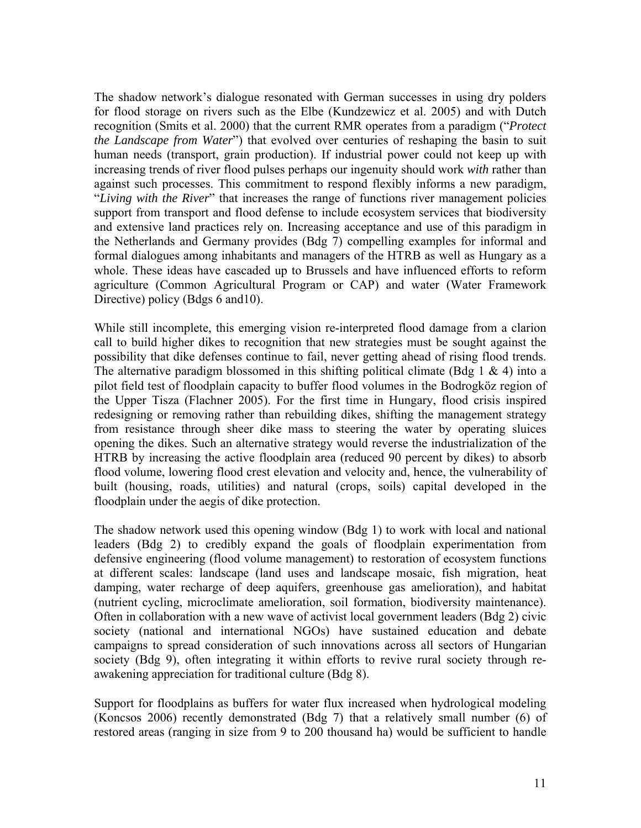The shadow network's dialogue resonated with German successes in using dry polders for flood storage on rivers such as the Elbe (Kundzewicz et al. 2005) and with Dutch recognition (Smits et al. 2000) that the current RMR operates from a paradigm ("*Protect the Landscape from Water*") that evolved over centuries of reshaping the basin to suit human needs (transport, grain production). If industrial power could not keep up with increasing trends of river flood pulses perhaps our ingenuity should work *with* rather than against such processes. This commitment to respond flexibly informs a new paradigm, "*Living with the River*" that increases the range of functions river management policies support from transport and flood defense to include ecosystem services that biodiversity and extensive land practices rely on. Increasing acceptance and use of this paradigm in the Netherlands and Germany provides (Bdg 7) compelling examples for informal and formal dialogues among inhabitants and managers of the HTRB as well as Hungary as a whole. These ideas have cascaded up to Brussels and have influenced efforts to reform agriculture (Common Agricultural Program or CAP) and water (Water Framework Directive) policy (Bdgs 6 and10).

While still incomplete, this emerging vision re-interpreted flood damage from a clarion call to build higher dikes to recognition that new strategies must be sought against the possibility that dike defenses continue to fail, never getting ahead of rising flood trends. The alternative paradigm blossomed in this shifting political climate (Bdg 1  $\&$  4) into a pilot field test of floodplain capacity to buffer flood volumes in the Bodrogköz region of the Upper Tisza (Flachner 2005). For the first time in Hungary, flood crisis inspired redesigning or removing rather than rebuilding dikes, shifting the management strategy from resistance through sheer dike mass to steering the water by operating sluices opening the dikes. Such an alternative strategy would reverse the industrialization of the HTRB by increasing the active floodplain area (reduced 90 percent by dikes) to absorb flood volume, lowering flood crest elevation and velocity and, hence, the vulnerability of built (housing, roads, utilities) and natural (crops, soils) capital developed in the floodplain under the aegis of dike protection.

The shadow network used this opening window (Bdg 1) to work with local and national leaders (Bdg 2) to credibly expand the goals of floodplain experimentation from defensive engineering (flood volume management) to restoration of ecosystem functions at different scales: landscape (land uses and landscape mosaic, fish migration, heat damping, water recharge of deep aquifers, greenhouse gas amelioration), and habitat (nutrient cycling, microclimate amelioration, soil formation, biodiversity maintenance). Often in collaboration with a new wave of activist local government leaders (Bdg 2) civic society (national and international NGOs) have sustained education and debate campaigns to spread consideration of such innovations across all sectors of Hungarian society (Bdg 9), often integrating it within efforts to revive rural society through reawakening appreciation for traditional culture (Bdg 8).

Support for floodplains as buffers for water flux increased when hydrological modeling (Koncsos 2006) recently demonstrated (Bdg 7) that a relatively small number (6) of restored areas (ranging in size from 9 to 200 thousand ha) would be sufficient to handle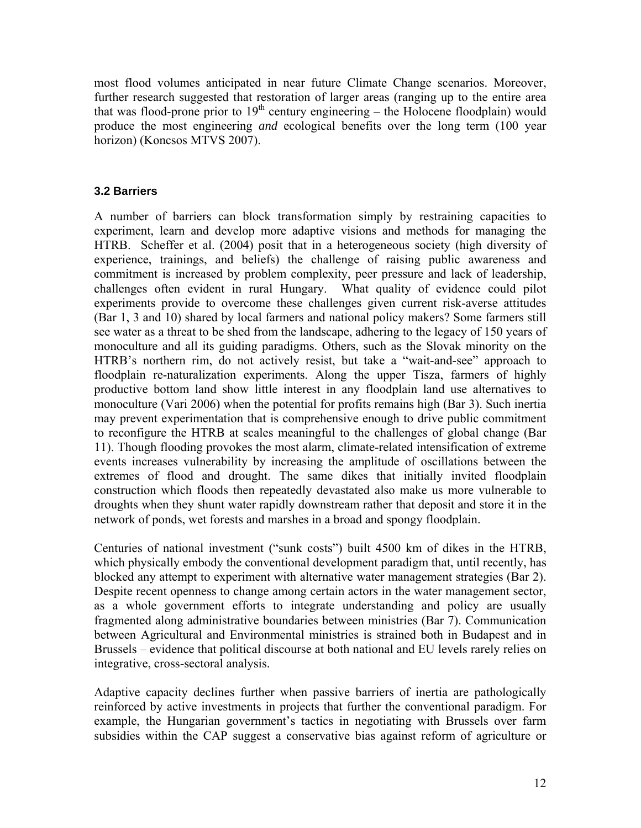most flood volumes anticipated in near future Climate Change scenarios. Moreover, further research suggested that restoration of larger areas (ranging up to the entire area that was flood-prone prior to  $19<sup>th</sup>$  century engineering – the Holocene floodplain) would produce the most engineering *and* ecological benefits over the long term (100 year horizon) (Koncsos MTVS 2007).

## **3.2 Barriers**

A number of barriers can block transformation simply by restraining capacities to experiment, learn and develop more adaptive visions and methods for managing the HTRB. Scheffer et al. (2004) posit that in a heterogeneous society (high diversity of experience, trainings, and beliefs) the challenge of raising public awareness and commitment is increased by problem complexity, peer pressure and lack of leadership, challenges often evident in rural Hungary. What quality of evidence could pilot experiments provide to overcome these challenges given current risk-averse attitudes (Bar 1, 3 and 10) shared by local farmers and national policy makers? Some farmers still see water as a threat to be shed from the landscape, adhering to the legacy of 150 years of monoculture and all its guiding paradigms. Others, such as the Slovak minority on the HTRB's northern rim, do not actively resist, but take a "wait-and-see" approach to floodplain re-naturalization experiments. Along the upper Tisza, farmers of highly productive bottom land show little interest in any floodplain land use alternatives to monoculture (Vari 2006) when the potential for profits remains high (Bar 3). Such inertia may prevent experimentation that is comprehensive enough to drive public commitment to reconfigure the HTRB at scales meaningful to the challenges of global change (Bar 11). Though flooding provokes the most alarm, climate-related intensification of extreme events increases vulnerability by increasing the amplitude of oscillations between the extremes of flood and drought. The same dikes that initially invited floodplain construction which floods then repeatedly devastated also make us more vulnerable to droughts when they shunt water rapidly downstream rather that deposit and store it in the network of ponds, wet forests and marshes in a broad and spongy floodplain.

Centuries of national investment ("sunk costs") built 4500 km of dikes in the HTRB, which physically embody the conventional development paradigm that, until recently, has blocked any attempt to experiment with alternative water management strategies (Bar 2). Despite recent openness to change among certain actors in the water management sector, as a whole government efforts to integrate understanding and policy are usually fragmented along administrative boundaries between ministries (Bar 7). Communication between Agricultural and Environmental ministries is strained both in Budapest and in Brussels – evidence that political discourse at both national and EU levels rarely relies on integrative, cross-sectoral analysis.

Adaptive capacity declines further when passive barriers of inertia are pathologically reinforced by active investments in projects that further the conventional paradigm. For example, the Hungarian government's tactics in negotiating with Brussels over farm subsidies within the CAP suggest a conservative bias against reform of agriculture or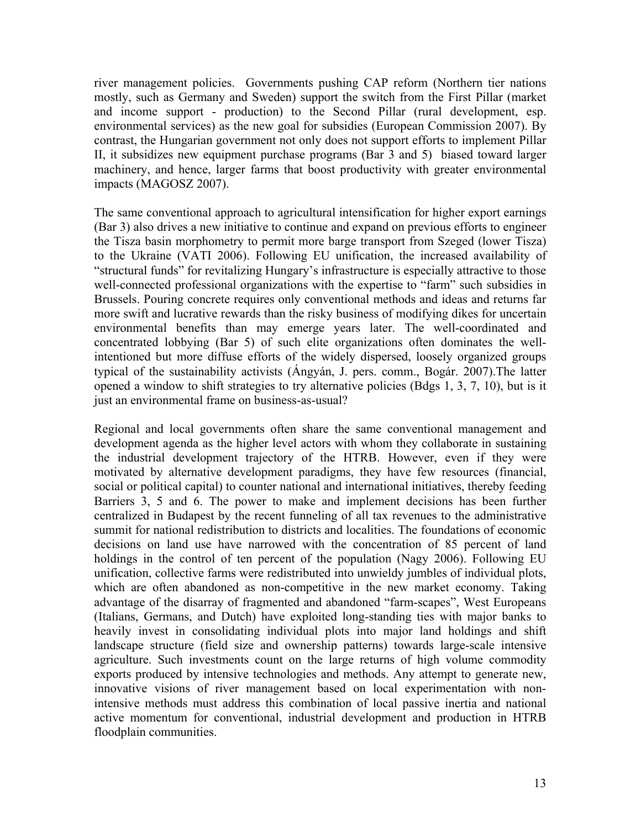river management policies. Governments pushing CAP reform (Northern tier nations mostly, such as Germany and Sweden) support the switch from the First Pillar (market and income support - production) to the Second Pillar (rural development, esp. environmental services) as the new goal for subsidies (European Commission 2007). By contrast, the Hungarian government not only does not support efforts to implement Pillar II, it subsidizes new equipment purchase programs (Bar 3 and 5) biased toward larger machinery, and hence, larger farms that boost productivity with greater environmental impacts (MAGOSZ 2007).

The same conventional approach to agricultural intensification for higher export earnings (Bar 3) also drives a new initiative to continue and expand on previous efforts to engineer the Tisza basin morphometry to permit more barge transport from Szeged (lower Tisza) to the Ukraine (VATI 2006). Following EU unification, the increased availability of "structural funds" for revitalizing Hungary's infrastructure is especially attractive to those well-connected professional organizations with the expertise to "farm" such subsidies in Brussels. Pouring concrete requires only conventional methods and ideas and returns far more swift and lucrative rewards than the risky business of modifying dikes for uncertain environmental benefits than may emerge years later. The well-coordinated and concentrated lobbying (Bar 5) of such elite organizations often dominates the wellintentioned but more diffuse efforts of the widely dispersed, loosely organized groups typical of the sustainability activists (Ángyán, J. pers. comm., Bogár. 2007).The latter opened a window to shift strategies to try alternative policies (Bdgs 1, 3, 7, 10), but is it just an environmental frame on business-as-usual?

Regional and local governments often share the same conventional management and development agenda as the higher level actors with whom they collaborate in sustaining the industrial development trajectory of the HTRB. However, even if they were motivated by alternative development paradigms, they have few resources (financial, social or political capital) to counter national and international initiatives, thereby feeding Barriers 3, 5 and 6. The power to make and implement decisions has been further centralized in Budapest by the recent funneling of all tax revenues to the administrative summit for national redistribution to districts and localities. The foundations of economic decisions on land use have narrowed with the concentration of 85 percent of land holdings in the control of ten percent of the population (Nagy 2006). Following EU unification, collective farms were redistributed into unwieldy jumbles of individual plots, which are often abandoned as non-competitive in the new market economy. Taking advantage of the disarray of fragmented and abandoned "farm-scapes", West Europeans (Italians, Germans, and Dutch) have exploited long-standing ties with major banks to heavily invest in consolidating individual plots into major land holdings and shift landscape structure (field size and ownership patterns) towards large-scale intensive agriculture. Such investments count on the large returns of high volume commodity exports produced by intensive technologies and methods. Any attempt to generate new, innovative visions of river management based on local experimentation with nonintensive methods must address this combination of local passive inertia and national active momentum for conventional, industrial development and production in HTRB floodplain communities.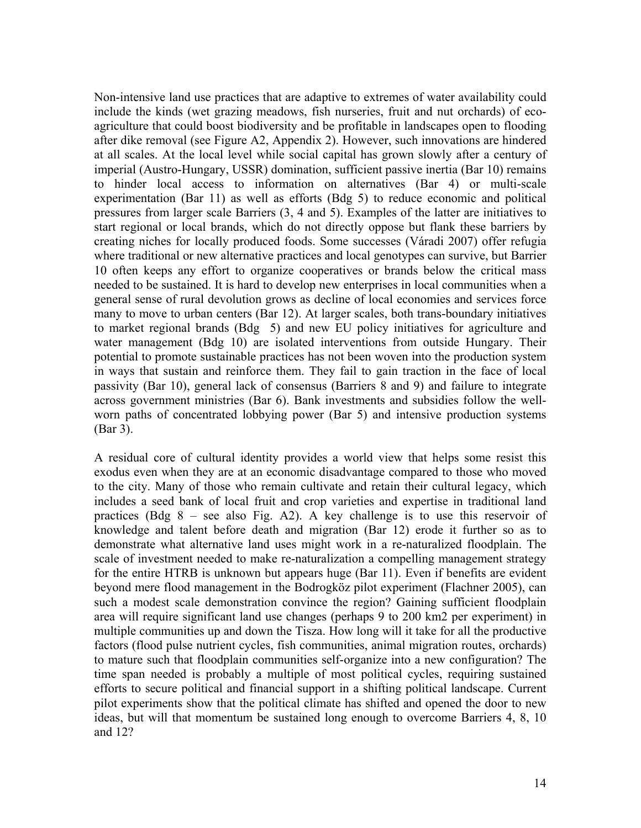Non-intensive land use practices that are adaptive to extremes of water availability could include the kinds (wet grazing meadows, fish nurseries, fruit and nut orchards) of ecoagriculture that could boost biodiversity and be profitable in landscapes open to flooding after dike removal (see Figure A2, Appendix 2). However, such innovations are hindered at all scales. At the local level while social capital has grown slowly after a century of imperial (Austro-Hungary, USSR) domination, sufficient passive inertia (Bar 10) remains to hinder local access to information on alternatives (Bar 4) or multi-scale experimentation (Bar 11) as well as efforts (Bdg 5) to reduce economic and political pressures from larger scale Barriers (3, 4 and 5). Examples of the latter are initiatives to start regional or local brands, which do not directly oppose but flank these barriers by creating niches for locally produced foods. Some successes (Váradi 2007) offer refugia where traditional or new alternative practices and local genotypes can survive, but Barrier 10 often keeps any effort to organize cooperatives or brands below the critical mass needed to be sustained. It is hard to develop new enterprises in local communities when a general sense of rural devolution grows as decline of local economies and services force many to move to urban centers (Bar 12). At larger scales, both trans-boundary initiatives to market regional brands (Bdg 5) and new EU policy initiatives for agriculture and water management (Bdg 10) are isolated interventions from outside Hungary. Their potential to promote sustainable practices has not been woven into the production system in ways that sustain and reinforce them. They fail to gain traction in the face of local passivity (Bar 10), general lack of consensus (Barriers 8 and 9) and failure to integrate across government ministries (Bar 6). Bank investments and subsidies follow the wellworn paths of concentrated lobbying power (Bar 5) and intensive production systems (Bar 3).

A residual core of cultural identity provides a world view that helps some resist this exodus even when they are at an economic disadvantage compared to those who moved to the city. Many of those who remain cultivate and retain their cultural legacy, which includes a seed bank of local fruit and crop varieties and expertise in traditional land practices (Bdg 8 – see also Fig. A2). A key challenge is to use this reservoir of knowledge and talent before death and migration (Bar 12) erode it further so as to demonstrate what alternative land uses might work in a re-naturalized floodplain. The scale of investment needed to make re-naturalization a compelling management strategy for the entire HTRB is unknown but appears huge (Bar 11). Even if benefits are evident beyond mere flood management in the Bodrogköz pilot experiment (Flachner 2005), can such a modest scale demonstration convince the region? Gaining sufficient floodplain area will require significant land use changes (perhaps 9 to 200 km2 per experiment) in multiple communities up and down the Tisza. How long will it take for all the productive factors (flood pulse nutrient cycles, fish communities, animal migration routes, orchards) to mature such that floodplain communities self-organize into a new configuration? The time span needed is probably a multiple of most political cycles, requiring sustained efforts to secure political and financial support in a shifting political landscape. Current pilot experiments show that the political climate has shifted and opened the door to new ideas, but will that momentum be sustained long enough to overcome Barriers 4, 8, 10 and 12?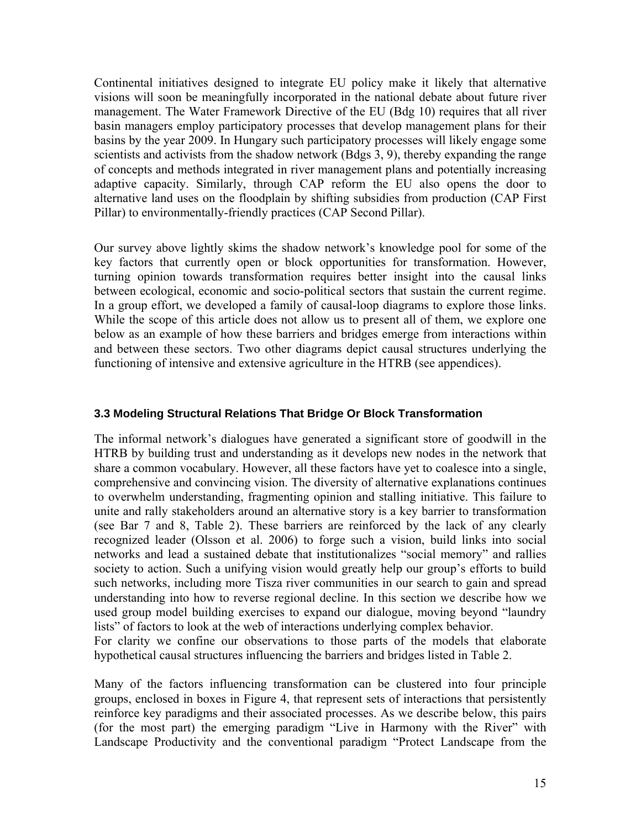Continental initiatives designed to integrate EU policy make it likely that alternative visions will soon be meaningfully incorporated in the national debate about future river management. The Water Framework Directive of the EU (Bdg 10) requires that all river basin managers employ participatory processes that develop management plans for their basins by the year 2009. In Hungary such participatory processes will likely engage some scientists and activists from the shadow network (Bdgs 3, 9), thereby expanding the range of concepts and methods integrated in river management plans and potentially increasing adaptive capacity. Similarly, through CAP reform the EU also opens the door to alternative land uses on the floodplain by shifting subsidies from production (CAP First Pillar) to environmentally-friendly practices (CAP Second Pillar).

Our survey above lightly skims the shadow network's knowledge pool for some of the key factors that currently open or block opportunities for transformation. However, turning opinion towards transformation requires better insight into the causal links between ecological, economic and socio-political sectors that sustain the current regime. In a group effort, we developed a family of causal-loop diagrams to explore those links. While the scope of this article does not allow us to present all of them, we explore one below as an example of how these barriers and bridges emerge from interactions within and between these sectors. Two other diagrams depict causal structures underlying the functioning of intensive and extensive agriculture in the HTRB (see appendices).

#### **3.3 Modeling Structural Relations That Bridge Or Block Transformation**

The informal network's dialogues have generated a significant store of goodwill in the HTRB by building trust and understanding as it develops new nodes in the network that share a common vocabulary. However, all these factors have yet to coalesce into a single, comprehensive and convincing vision. The diversity of alternative explanations continues to overwhelm understanding, fragmenting opinion and stalling initiative. This failure to unite and rally stakeholders around an alternative story is a key barrier to transformation (see Bar 7 and 8, Table 2). These barriers are reinforced by the lack of any clearly recognized leader (Olsson et al. 2006) to forge such a vision, build links into social networks and lead a sustained debate that institutionalizes "social memory" and rallies society to action. Such a unifying vision would greatly help our group's efforts to build such networks, including more Tisza river communities in our search to gain and spread understanding into how to reverse regional decline. In this section we describe how we used group model building exercises to expand our dialogue, moving beyond "laundry lists" of factors to look at the web of interactions underlying complex behavior.

For clarity we confine our observations to those parts of the models that elaborate hypothetical causal structures influencing the barriers and bridges listed in Table 2.

Many of the factors influencing transformation can be clustered into four principle groups, enclosed in boxes in Figure 4, that represent sets of interactions that persistently reinforce key paradigms and their associated processes. As we describe below, this pairs (for the most part) the emerging paradigm "Live in Harmony with the River" with Landscape Productivity and the conventional paradigm "Protect Landscape from the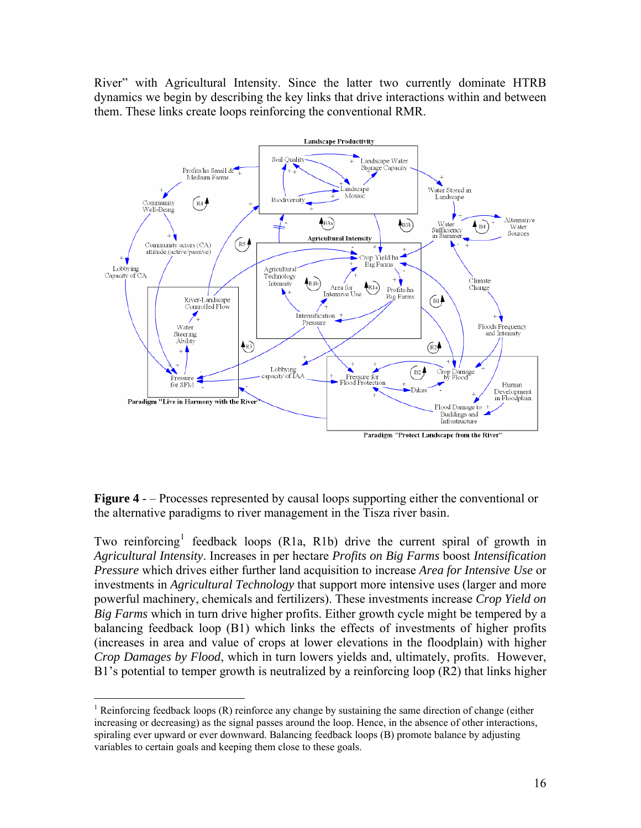River" with Agricultural Intensity. Since the latter two currently dominate HTRB dynamics we begin by describing the key links that drive interactions within and between them. These links create loops reinforcing the conventional RMR.



**Figure 4** - – Processes represented by causal loops supporting either the conventional or the alternative paradigms to river management in the Tisza river basin.

Two reinforcing<sup>[1](#page-15-0)</sup> feedback loops (R1a, R1b) drive the current spiral of growth in *Agricultural Intensity*. Increases in per hectare *Profits on Big Farms* boost *Intensification Pressure* which drives either further land acquisition to increase *Area for Intensive Use* or investments in *Agricultural Technology* that support more intensive uses (larger and more powerful machinery, chemicals and fertilizers). These investments increase *Crop Yield on Big Farms* which in turn drive higher profits. Either growth cycle might be tempered by a balancing feedback loop (B1) which links the effects of investments of higher profits (increases in area and value of crops at lower elevations in the floodplain) with higher *Crop Damages by Flood*, which in turn lowers yields and, ultimately, profits. However, B1's potential to temper growth is neutralized by a reinforcing loop (R2) that links higher

 $\overline{a}$ 

<span id="page-15-0"></span><sup>&</sup>lt;sup>1</sup> Reinforcing feedback loops  $(R)$  reinforce any change by sustaining the same direction of change (either increasing or decreasing) as the signal passes around the loop. Hence, in the absence of other interactions, spiraling ever upward or ever downward. Balancing feedback loops (B) promote balance by adjusting variables to certain goals and keeping them close to these goals.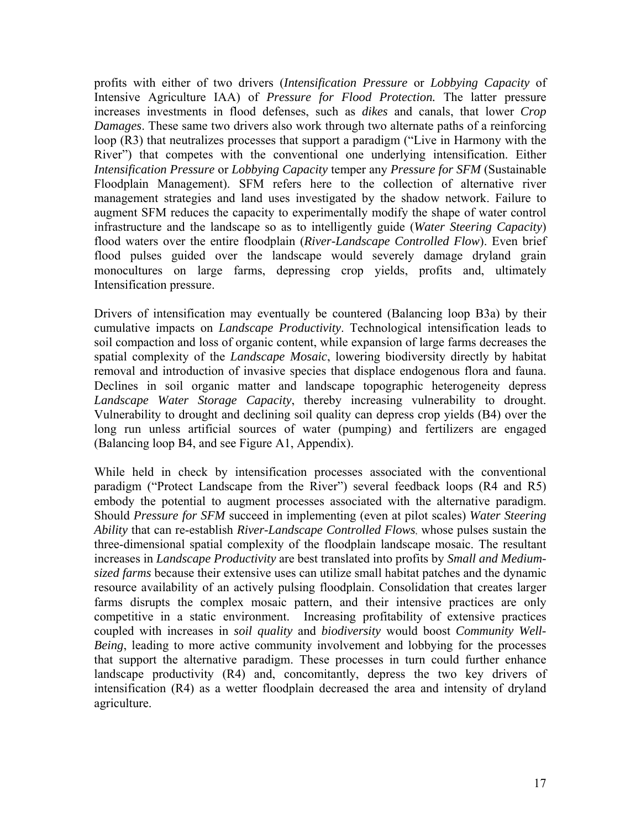profits with either of two drivers (*Intensification Pressure* or *Lobbying Capacity* of Intensive Agriculture IAA) of *Pressure for Flood Protection.* The latter pressure increases investments in flood defenses, such as *dikes* and canals, that lower *Crop Damages*. These same two drivers also work through two alternate paths of a reinforcing loop (R3) that neutralizes processes that support a paradigm ("Live in Harmony with the River") that competes with the conventional one underlying intensification. Either *Intensification Pressure* or *Lobbying Capacity* temper any *Pressure for SFM* (Sustainable Floodplain Management). SFM refers here to the collection of alternative river management strategies and land uses investigated by the shadow network. Failure to augment SFM reduces the capacity to experimentally modify the shape of water control infrastructure and the landscape so as to intelligently guide (*Water Steering Capacity*) flood waters over the entire floodplain (*River-Landscape Controlled Flow*). Even brief flood pulses guided over the landscape would severely damage dryland grain monocultures on large farms, depressing crop yields, profits and, ultimately Intensification pressure.

Drivers of intensification may eventually be countered (Balancing loop B3a) by their cumulative impacts on *Landscape Productivity*. Technological intensification leads to soil compaction and loss of organic content, while expansion of large farms decreases the spatial complexity of the *Landscape Mosaic*, lowering biodiversity directly by habitat removal and introduction of invasive species that displace endogenous flora and fauna. Declines in soil organic matter and landscape topographic heterogeneity depress *Landscape Water Storage Capacity*, thereby increasing vulnerability to drought. Vulnerability to drought and declining soil quality can depress crop yields (B4) over the long run unless artificial sources of water (pumping) and fertilizers are engaged (Balancing loop B4, and see Figure A1, Appendix).

While held in check by intensification processes associated with the conventional paradigm ("Protect Landscape from the River") several feedback loops (R4 and R5) embody the potential to augment processes associated with the alternative paradigm. Should *Pressure for SFM* succeed in implementing (even at pilot scales) *Water Steering Ability* that can re-establish *River-Landscape Controlled Flows*, whose pulses sustain the three-dimensional spatial complexity of the floodplain landscape mosaic. The resultant increases in *Landscape Productivity* are best translated into profits by *Small and Mediumsized farms* because their extensive uses can utilize small habitat patches and the dynamic resource availability of an actively pulsing floodplain. Consolidation that creates larger farms disrupts the complex mosaic pattern, and their intensive practices are only competitive in a static environment. Increasing profitability of extensive practices coupled with increases in *soil quality* and *biodiversity* would boost *Community Well-Being*, leading to more active community involvement and lobbying for the processes that support the alternative paradigm. These processes in turn could further enhance landscape productivity (R4) and, concomitantly, depress the two key drivers of intensification (R4) as a wetter floodplain decreased the area and intensity of dryland agriculture.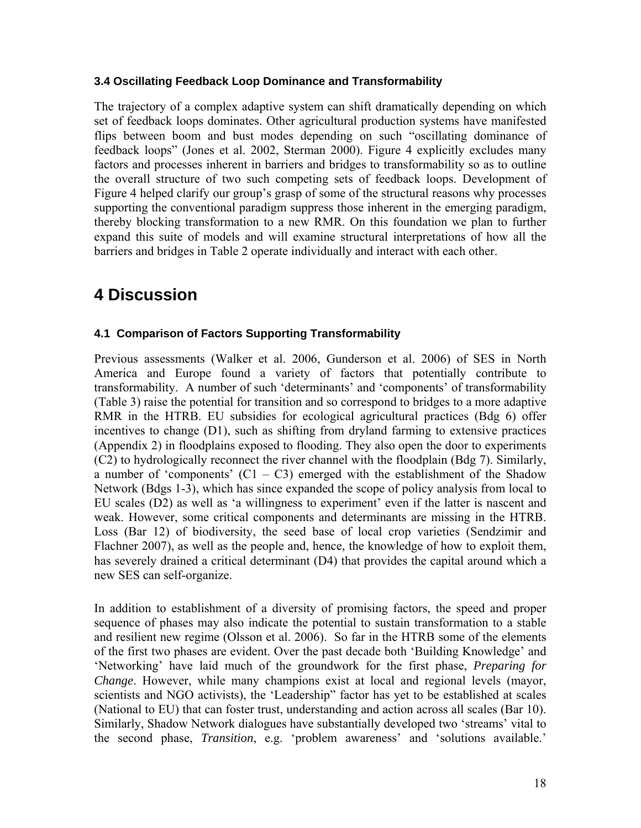#### **3.4 Oscillating Feedback Loop Dominance and Transformability**

The trajectory of a complex adaptive system can shift dramatically depending on which set of feedback loops dominates. Other agricultural production systems have manifested flips between boom and bust modes depending on such "oscillating dominance of feedback loops" (Jones et al. 2002, Sterman 2000). Figure 4 explicitly excludes many factors and processes inherent in barriers and bridges to transformability so as to outline the overall structure of two such competing sets of feedback loops. Development of Figure 4 helped clarify our group's grasp of some of the structural reasons why processes supporting the conventional paradigm suppress those inherent in the emerging paradigm, thereby blocking transformation to a new RMR. On this foundation we plan to further expand this suite of models and will examine structural interpretations of how all the barriers and bridges in Table 2 operate individually and interact with each other.

# **4 Discussion**

# **4.1 Comparison of Factors Supporting Transformability**

Previous assessments (Walker et al. 2006, Gunderson et al. 2006) of SES in North America and Europe found a variety of factors that potentially contribute to transformability. A number of such 'determinants' and 'components' of transformability (Table 3) raise the potential for transition and so correspond to bridges to a more adaptive RMR in the HTRB. EU subsidies for ecological agricultural practices (Bdg 6) offer incentives to change (D1), such as shifting from dryland farming to extensive practices (Appendix 2) in floodplains exposed to flooding. They also open the door to experiments (C2) to hydrologically reconnect the river channel with the floodplain (Bdg 7). Similarly, a number of 'components'  $(C1 - C3)$  emerged with the establishment of the Shadow Network (Bdgs 1-3), which has since expanded the scope of policy analysis from local to EU scales (D2) as well as 'a willingness to experiment' even if the latter is nascent and weak. However, some critical components and determinants are missing in the HTRB. Loss (Bar 12) of biodiversity, the seed base of local crop varieties (Sendzimir and Flachner 2007), as well as the people and, hence, the knowledge of how to exploit them, has severely drained a critical determinant (D4) that provides the capital around which a new SES can self-organize.

In addition to establishment of a diversity of promising factors, the speed and proper sequence of phases may also indicate the potential to sustain transformation to a stable and resilient new regime (Olsson et al. 2006). So far in the HTRB some of the elements of the first two phases are evident. Over the past decade both 'Building Knowledge' and 'Networking' have laid much of the groundwork for the first phase, *Preparing for Change*. However, while many champions exist at local and regional levels (mayor, scientists and NGO activists), the 'Leadership" factor has yet to be established at scales (National to EU) that can foster trust, understanding and action across all scales (Bar 10). Similarly, Shadow Network dialogues have substantially developed two 'streams' vital to the second phase, *Transition*, e.g. 'problem awareness' and 'solutions available.'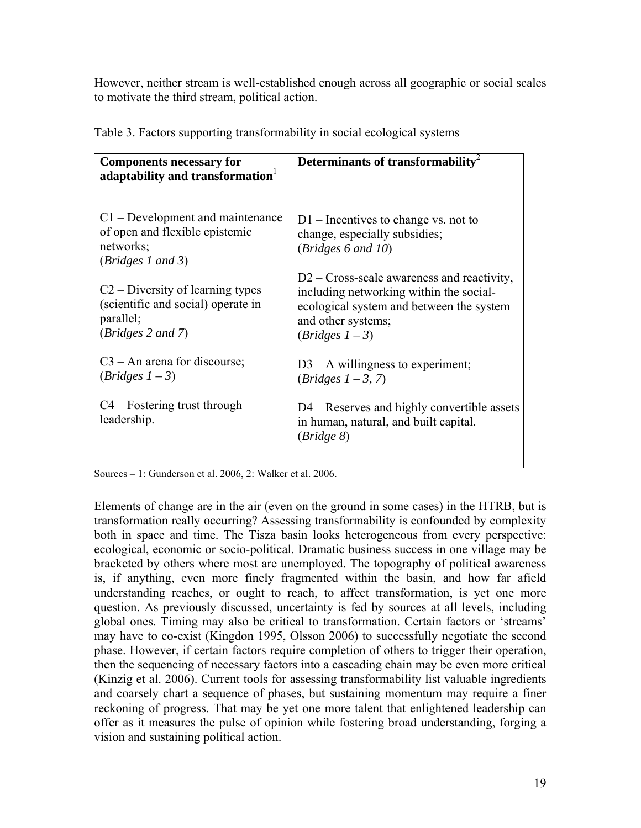However, neither stream is well-established enough across all geographic or social scales to motivate the third stream, political action.

| <b>Components necessary for</b><br>adaptability and transformation                                                   | Determinants of transformability                                                                                                                                             |  |
|----------------------------------------------------------------------------------------------------------------------|------------------------------------------------------------------------------------------------------------------------------------------------------------------------------|--|
| $C1$ – Development and maintenance<br>of open and flexible epistemic<br>networks;<br>(Bridges 1 and 3)               | $D1$ – Incentives to change vs. not to<br>change, especially subsidies;<br>(Bridges 6 and 10)                                                                                |  |
| C <sub>2</sub> – Diversity of learning types<br>(scientific and social) operate in<br>parallel;<br>(Bridges 2 and 7) | $D2 - Cross-scale awareness$ and reactivity,<br>including networking within the social-<br>ecological system and between the system<br>and other systems;<br>$(Bridges 1-3)$ |  |
| $C3 - An$ arena for discourse;<br>$(Bridges 1-3)$                                                                    | $D3 - A$ willingness to experiment;<br>$(Bridges 1-3, 7)$                                                                                                                    |  |
| $C4 - Fostering trust through$<br>leadership.                                                                        | D4 – Reserves and highly convertible assets<br>in human, natural, and built capital.<br>(Bridge 8)                                                                           |  |

Table 3. Factors supporting transformability in social ecological systems

Sources – 1: Gunderson et al. 2006, 2: Walker et al. 2006.

Elements of change are in the air (even on the ground in some cases) in the HTRB, but is transformation really occurring? Assessing transformability is confounded by complexity both in space and time. The Tisza basin looks heterogeneous from every perspective: ecological, economic or socio-political. Dramatic business success in one village may be bracketed by others where most are unemployed. The topography of political awareness is, if anything, even more finely fragmented within the basin, and how far afield understanding reaches, or ought to reach, to affect transformation, is yet one more question. As previously discussed, uncertainty is fed by sources at all levels, including global ones. Timing may also be critical to transformation. Certain factors or 'streams' may have to co-exist (Kingdon 1995, Olsson 2006) to successfully negotiate the second phase. However, if certain factors require completion of others to trigger their operation, then the sequencing of necessary factors into a cascading chain may be even more critical (Kinzig et al. 2006). Current tools for assessing transformability list valuable ingredients and coarsely chart a sequence of phases, but sustaining momentum may require a finer reckoning of progress. That may be yet one more talent that enlightened leadership can offer as it measures the pulse of opinion while fostering broad understanding, forging a vision and sustaining political action.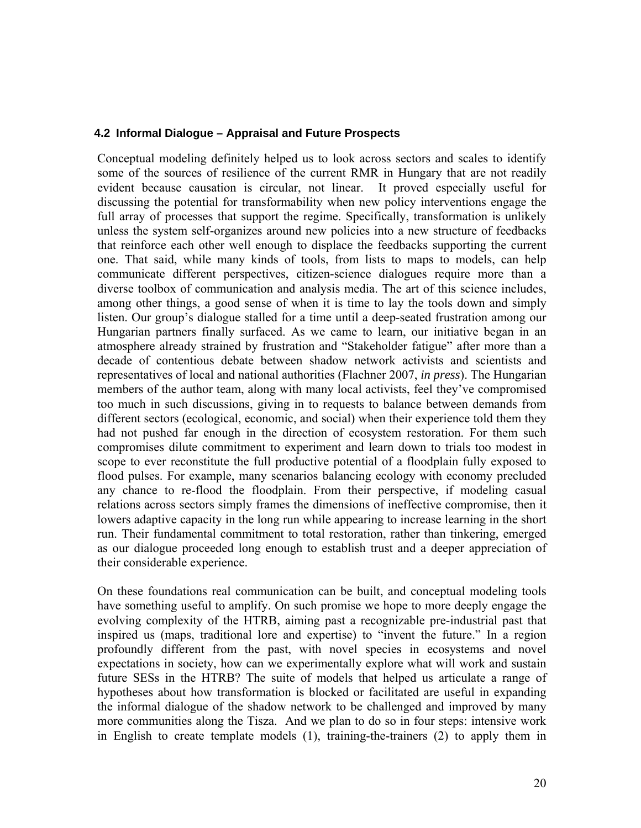#### **4.2 Informal Dialogue – Appraisal and Future Prospects**

Conceptual modeling definitely helped us to look across sectors and scales to identify some of the sources of resilience of the current RMR in Hungary that are not readily evident because causation is circular, not linear. It proved especially useful for discussing the potential for transformability when new policy interventions engage the full array of processes that support the regime. Specifically, transformation is unlikely unless the system self-organizes around new policies into a new structure of feedbacks that reinforce each other well enough to displace the feedbacks supporting the current one. That said, while many kinds of tools, from lists to maps to models, can help communicate different perspectives, citizen-science dialogues require more than a diverse toolbox of communication and analysis media. The art of this science includes, among other things, a good sense of when it is time to lay the tools down and simply listen. Our group's dialogue stalled for a time until a deep-seated frustration among our Hungarian partners finally surfaced. As we came to learn, our initiative began in an atmosphere already strained by frustration and "Stakeholder fatigue" after more than a decade of contentious debate between shadow network activists and scientists and representatives of local and national authorities (Flachner 2007, *in press*). The Hungarian members of the author team, along with many local activists, feel they've compromised too much in such discussions, giving in to requests to balance between demands from different sectors (ecological, economic, and social) when their experience told them they had not pushed far enough in the direction of ecosystem restoration. For them such compromises dilute commitment to experiment and learn down to trials too modest in scope to ever reconstitute the full productive potential of a floodplain fully exposed to flood pulses. For example, many scenarios balancing ecology with economy precluded any chance to re-flood the floodplain. From their perspective, if modeling casual relations across sectors simply frames the dimensions of ineffective compromise, then it lowers adaptive capacity in the long run while appearing to increase learning in the short run. Their fundamental commitment to total restoration, rather than tinkering, emerged as our dialogue proceeded long enough to establish trust and a deeper appreciation of their considerable experience.

On these foundations real communication can be built, and conceptual modeling tools have something useful to amplify. On such promise we hope to more deeply engage the evolving complexity of the HTRB, aiming past a recognizable pre-industrial past that inspired us (maps, traditional lore and expertise) to "invent the future." In a region profoundly different from the past, with novel species in ecosystems and novel expectations in society, how can we experimentally explore what will work and sustain future SESs in the HTRB? The suite of models that helped us articulate a range of hypotheses about how transformation is blocked or facilitated are useful in expanding the informal dialogue of the shadow network to be challenged and improved by many more communities along the Tisza. And we plan to do so in four steps: intensive work in English to create template models (1), training-the-trainers (2) to apply them in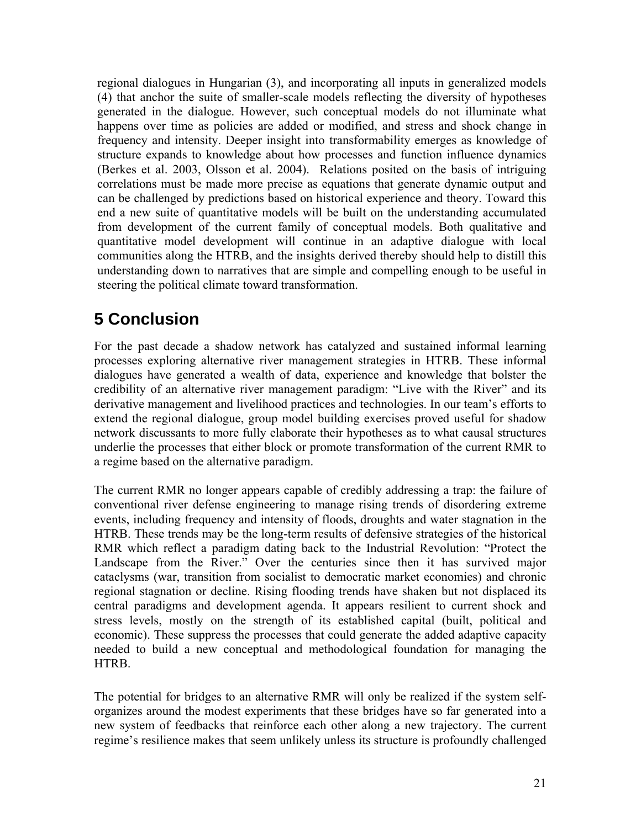regional dialogues in Hungarian (3), and incorporating all inputs in generalized models (4) that anchor the suite of smaller-scale models reflecting the diversity of hypotheses generated in the dialogue. However, such conceptual models do not illuminate what happens over time as policies are added or modified, and stress and shock change in frequency and intensity. Deeper insight into transformability emerges as knowledge of structure expands to knowledge about how processes and function influence dynamics (Berkes et al. 2003, Olsson et al. 2004). Relations posited on the basis of intriguing correlations must be made more precise as equations that generate dynamic output and can be challenged by predictions based on historical experience and theory. Toward this end a new suite of quantitative models will be built on the understanding accumulated from development of the current family of conceptual models. Both qualitative and quantitative model development will continue in an adaptive dialogue with local communities along the HTRB, and the insights derived thereby should help to distill this understanding down to narratives that are simple and compelling enough to be useful in steering the political climate toward transformation.

# **5 Conclusion**

For the past decade a shadow network has catalyzed and sustained informal learning processes exploring alternative river management strategies in HTRB. These informal dialogues have generated a wealth of data, experience and knowledge that bolster the credibility of an alternative river management paradigm: "Live with the River" and its derivative management and livelihood practices and technologies. In our team's efforts to extend the regional dialogue, group model building exercises proved useful for shadow network discussants to more fully elaborate their hypotheses as to what causal structures underlie the processes that either block or promote transformation of the current RMR to a regime based on the alternative paradigm.

The current RMR no longer appears capable of credibly addressing a trap: the failure of conventional river defense engineering to manage rising trends of disordering extreme events, including frequency and intensity of floods, droughts and water stagnation in the HTRB. These trends may be the long-term results of defensive strategies of the historical RMR which reflect a paradigm dating back to the Industrial Revolution: "Protect the Landscape from the River." Over the centuries since then it has survived major cataclysms (war, transition from socialist to democratic market economies) and chronic regional stagnation or decline. Rising flooding trends have shaken but not displaced its central paradigms and development agenda. It appears resilient to current shock and stress levels, mostly on the strength of its established capital (built, political and economic). These suppress the processes that could generate the added adaptive capacity needed to build a new conceptual and methodological foundation for managing the HTRB.

The potential for bridges to an alternative RMR will only be realized if the system selforganizes around the modest experiments that these bridges have so far generated into a new system of feedbacks that reinforce each other along a new trajectory. The current regime's resilience makes that seem unlikely unless its structure is profoundly challenged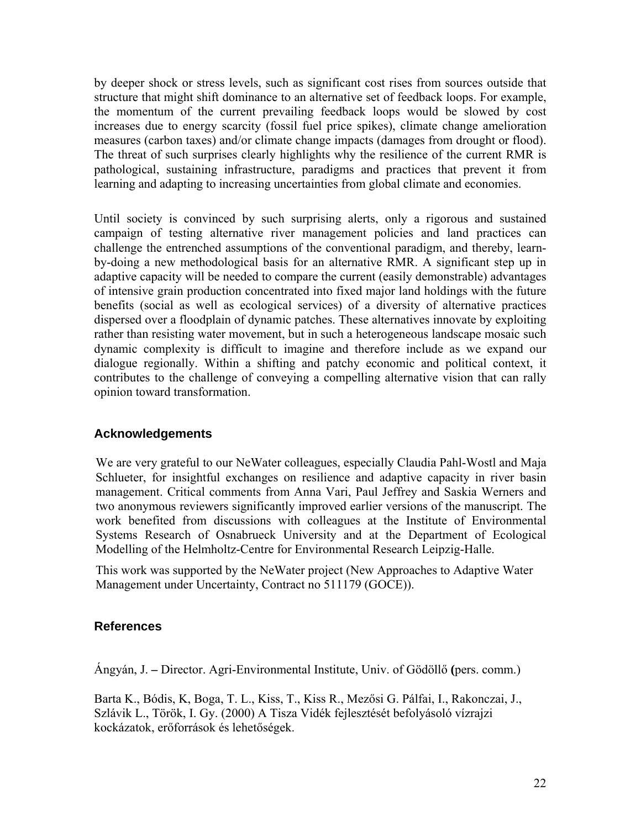by deeper shock or stress levels, such as significant cost rises from sources outside that structure that might shift dominance to an alternative set of feedback loops. For example, the momentum of the current prevailing feedback loops would be slowed by cost increases due to energy scarcity (fossil fuel price spikes), climate change amelioration measures (carbon taxes) and/or climate change impacts (damages from drought or flood). The threat of such surprises clearly highlights why the resilience of the current RMR is pathological, sustaining infrastructure, paradigms and practices that prevent it from learning and adapting to increasing uncertainties from global climate and economies.

Until society is convinced by such surprising alerts, only a rigorous and sustained campaign of testing alternative river management policies and land practices can challenge the entrenched assumptions of the conventional paradigm, and thereby, learnby-doing a new methodological basis for an alternative RMR. A significant step up in adaptive capacity will be needed to compare the current (easily demonstrable) advantages of intensive grain production concentrated into fixed major land holdings with the future benefits (social as well as ecological services) of a diversity of alternative practices dispersed over a floodplain of dynamic patches. These alternatives innovate by exploiting rather than resisting water movement, but in such a heterogeneous landscape mosaic such dynamic complexity is difficult to imagine and therefore include as we expand our dialogue regionally. Within a shifting and patchy economic and political context, it contributes to the challenge of conveying a compelling alternative vision that can rally opinion toward transformation.

# **Acknowledgements**

We are very grateful to our NeWater colleagues, especially Claudia Pahl-Wostl and Maja Schlueter, for insightful exchanges on resilience and adaptive capacity in river basin management. Critical comments from Anna Vari, Paul Jeffrey and Saskia Werners and two anonymous reviewers significantly improved earlier versions of the manuscript. The work benefited from discussions with colleagues at the Institute of Environmental Systems Research of Osnabrueck University and at the Department of Ecological Modelling of the Helmholtz-Centre for Environmental Research Leipzig-Halle.

This work was supported by the NeWater project (New Approaches to Adaptive Water Management under Uncertainty, Contract no 511179 (GOCE)).

# **References**

Ángyán, J. **–** Director. Agri-Environmental Institute, Univ. of Gödöllő **(**pers. comm.)

Barta K., Bódis, K, Boga, T. L., Kiss, T., Kiss R., Mezősi G. Pálfai, I., Rakonczai, J., Szlávik L., Török, I. Gy. (2000) A Tisza Vidék fejlesztését befolyásoló vízrajzi kockázatok, erőforrások és lehetőségek.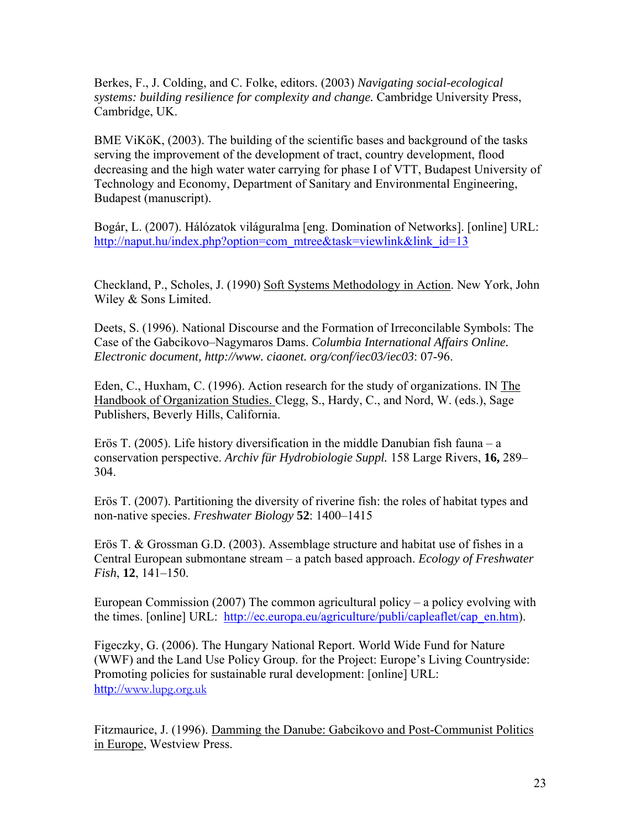Berkes, F., J. Colding, and C. Folke, editors. (2003) *Navigating social-ecological systems: building resilience for complexity and change.* Cambridge University Press, Cambridge, UK.

BME ViKöK, (2003). The building of the scientific bases and background of the tasks serving the improvement of the development of tract, country development, flood decreasing and the high water water carrying for phase I of VTT, Budapest University of Technology and Economy, Department of Sanitary and Environmental Engineering, Budapest (manuscript).

Bogár, L. (2007). Hálózatok világuralma [eng. Domination of Networks]. [online] URL: [http://naput.hu/index.php?option=com\\_mtree&task=viewlink&link\\_id=13](http://naput.hu/index.php?option=com_mtree&task=viewlink&link_id=13)

Checkland, P., Scholes, J. (1990) Soft Systems Methodology in Action. New York, John Wiley & Sons Limited.

Deets, S. (1996). National Discourse and the Formation of Irreconcilable Symbols: The Case of the Gabcikovo–Nagymaros Dams. *Columbia International Affairs Online. Electronic document, http://www. ciaonet. org/conf/iec03/iec03*: 07-96.

Eden, C., Huxham, C. (1996). Action research for the study of organizations. IN The Handbook of Organization Studies. Clegg, S., Hardy, C., and Nord, W. (eds.), Sage Publishers, Beverly Hills, California.

Erös T. (2005). Life history diversification in the middle Danubian fish fauna – a conservation perspective. *Archiv für Hydrobiologie Suppl.* 158 Large Rivers, **16,** 289– 304.

Erös T. (2007). Partitioning the diversity of riverine fish: the roles of habitat types and non-native species. *Freshwater Biology* **52**: 1400–1415

Erös T. & Grossman G.D. (2003). Assemblage structure and habitat use of fishes in a Central European submontane stream – a patch based approach. *Ecology of Freshwater Fish*, **12**, 141–150.

European Commission (2007) The common agricultural policy – a policy evolving with the times. [online] URL: [http://ec.europa.eu/agriculture/publi/capleaflet/cap\\_en.htm\)](http://ec.europa.eu/agriculture/publi/capleaflet/cap_en.htm).

Figeczky, G. (2006). The Hungary National Report. World Wide Fund for Nature (WWF) and the Land Use Policy Group. for the Project: Europe's Living Countryside: Promoting policies for sustainable rural development: [online] URL: http://[www.lupg.org.uk](http://www.lupg.org.uk/)

Fitzmaurice, J. (1996). Damming the Danube: Gabcikovo and Post-Communist Politics in Europe, Westview Press.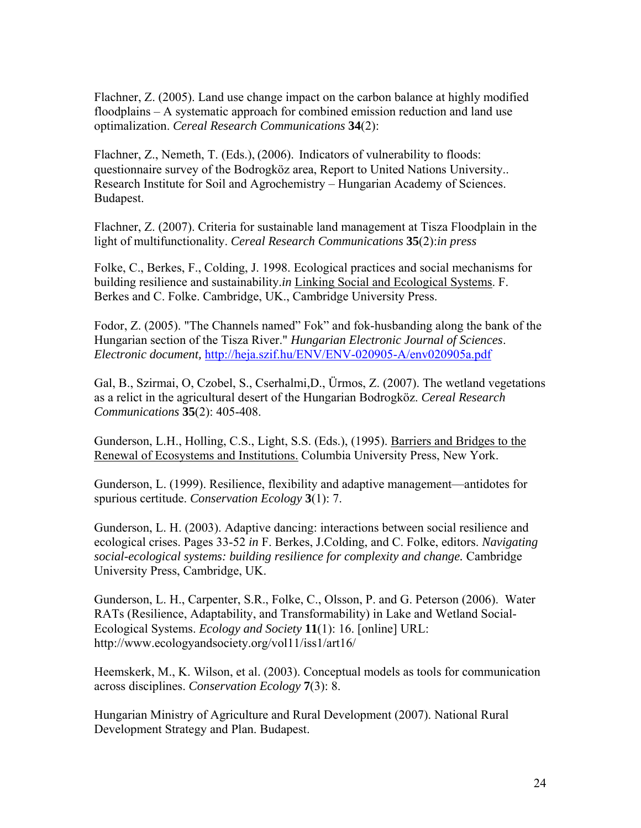Flachner, Z. (2005). Land use change impact on the carbon balance at highly modified floodplains – A systematic approach for combined emission reduction and land use optimalization. *Cereal Research Communications* **34**(2):

Flachner, Z., Nemeth, T. (Eds.), (2006). Indicators of vulnerability to floods: questionnaire survey of the Bodrogköz area, Report to United Nations University.. Research Institute for Soil and Agrochemistry – Hungarian Academy of Sciences. Budapest.

Flachner, Z. (2007). Criteria for sustainable land management at Tisza Floodplain in the light of multifunctionality. *Cereal Research Communications* **35**(2):*in press*

Folke, C., Berkes, F., Colding, J. 1998. Ecological practices and social mechanisms for building resilience and sustainability.*in* Linking Social and Ecological Systems. F. Berkes and C. Folke. Cambridge, UK., Cambridge University Press.

Fodor, Z. (2005). "The Channels named" Fok" and fok-husbanding along the bank of the Hungarian section of the Tisza River." *Hungarian Electronic Journal of Sciences*. *Electronic document,* <http://heja.szif.hu/ENV/ENV-020905-A/env020905a.pdf>

Gal, B., Szirmai, O, Czobel, S., Cserhalmi,D., Ürmos, Z. (2007). The wetland vegetations as a relict in the agricultural desert of the Hungarian Bodrogköz. *Cereal Research Communications* **35**(2): 405-408.

Gunderson, L.H., Holling, C.S., Light, S.S. (Eds.), (1995). Barriers and Bridges to the Renewal of Ecosystems and Institutions. Columbia University Press, New York.

Gunderson, L. (1999). Resilience, flexibility and adaptive management—antidotes for spurious certitude. *Conservation Ecology* **3**(1): 7.

Gunderson, L. H. (2003). Adaptive dancing: interactions between social resilience and ecological crises. Pages 33-52 *in* F. Berkes, J.Colding, and C. Folke, editors. *Navigating social-ecological systems: building resilience for complexity and change.* Cambridge University Press, Cambridge, UK.

Gunderson, L. H., Carpenter, S.R., Folke, C., Olsson, P. and G. Peterson (2006). Water RATs (Resilience, Adaptability, and Transformability) in Lake and Wetland Social-Ecological Systems. *Ecology and Society* **11**(1): 16. [online] URL: http://www.ecologyandsociety.org/vol11/iss1/art16/

Heemskerk, M., K. Wilson, et al. (2003). Conceptual models as tools for communication across disciplines. *Conservation Ecology* **7**(3): 8.

Hungarian Ministry of Agriculture and Rural Development (2007). National Rural Development Strategy and Plan. Budapest.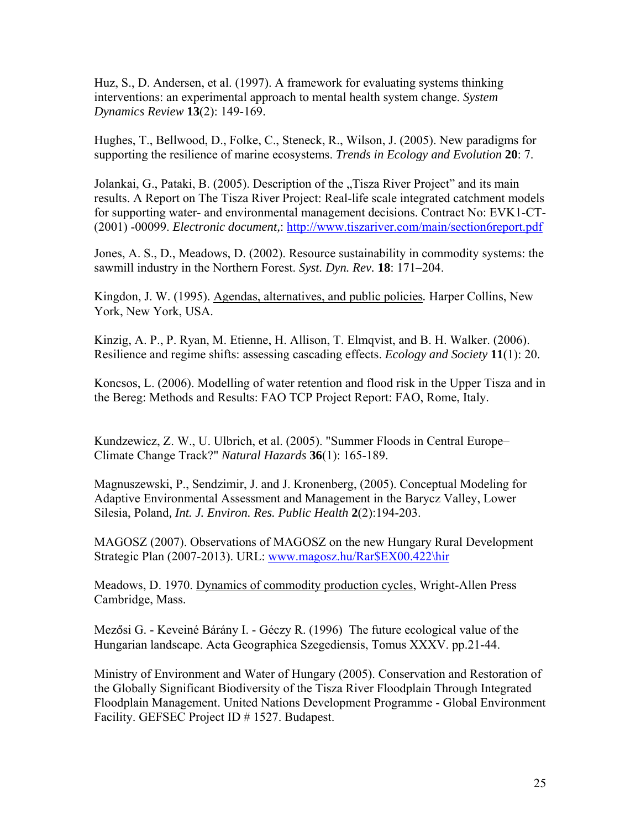Huz, S., D. Andersen, et al. (1997). A framework for evaluating systems thinking interventions: an experimental approach to mental health system change. *System Dynamics Review* **13**(2): 149-169.

Hughes, T., Bellwood, D., Folke, C., Steneck, R., Wilson, J. (2005). New paradigms for supporting the resilience of marine ecosystems. *Trends in Ecology and Evolution* **20**: 7.

Jolankai, G., Pataki, B. (2005). Description of the "Tisza River Project" and its main results. A Report on The Tisza River Project: Real-life scale integrated catchment models for supporting water- and environmental management decisions. Contract No: EVK1-CT- (2001) -00099. *Electronic document,*:<http://www.tiszariver.com/main/section6report.pdf>

Jones, A. S., D., Meadows, D. (2002). Resource sustainability in commodity systems: the sawmill industry in the Northern Forest. *Syst. Dyn. Rev.* **18**: 171–204.

Kingdon, J. W. (1995). Agendas, alternatives, and public policies*.* Harper Collins, New York, New York, USA.

Kinzig, A. P., P. Ryan, M. Etienne, H. Allison, T. Elmqvist, and B. H. Walker. (2006). Resilience and regime shifts: assessing cascading effects. *Ecology and Society* **11**(1): 20.

Koncsos, L. (2006). Modelling of water retention and flood risk in the Upper Tisza and in the Bereg: Methods and Results: FAO TCP Project Report: FAO, Rome, Italy.

Kundzewicz, Z. W., U. Ulbrich, et al. (2005). "Summer Floods in Central Europe– Climate Change Track?" *Natural Hazards* **36**(1): 165-189.

Magnuszewski, P., Sendzimir, J. and J. Kronenberg, (2005). [Conceptual Modeling for](http://www.mdpi.net/ijerph/papers2/ijerph2005020001.pdf)  [Adaptive Environmental Assessment and Management in the Barycz Valley, Lower](http://www.mdpi.net/ijerph/papers2/ijerph2005020001.pdf)  [Silesia, Poland](http://www.mdpi.net/ijerph/papers2/ijerph2005020001.pdf)*, Int. J. Environ. Res. Public Health* **2**(2):194-203.

MAGOSZ (2007). Observations of MAGOSZ on the new Hungary Rural Development Strategic Plan (2007-2013). URL: [www.magosz.hu/Rar\\$EX00.422\hir](http://www.magosz.hu/Rar$EX00.422/hir)

Meadows, D. 1970. Dynamics of commodity production cycles, Wright-Allen Press Cambridge, Mass.

Mezősi G. - Keveiné Bárány I. - Géczy R. (1996) The future ecological value of the Hungarian landscape. Acta Geographica Szegediensis, Tomus XXXV. pp.21-44.

Ministry of Environment and Water of Hungary (2005). Conservation and Restoration of the Globally Significant Biodiversity of the Tisza River Floodplain Through Integrated Floodplain Management. United Nations Development Programme - Global Environment Facility. GEFSEC Project ID # 1527. Budapest.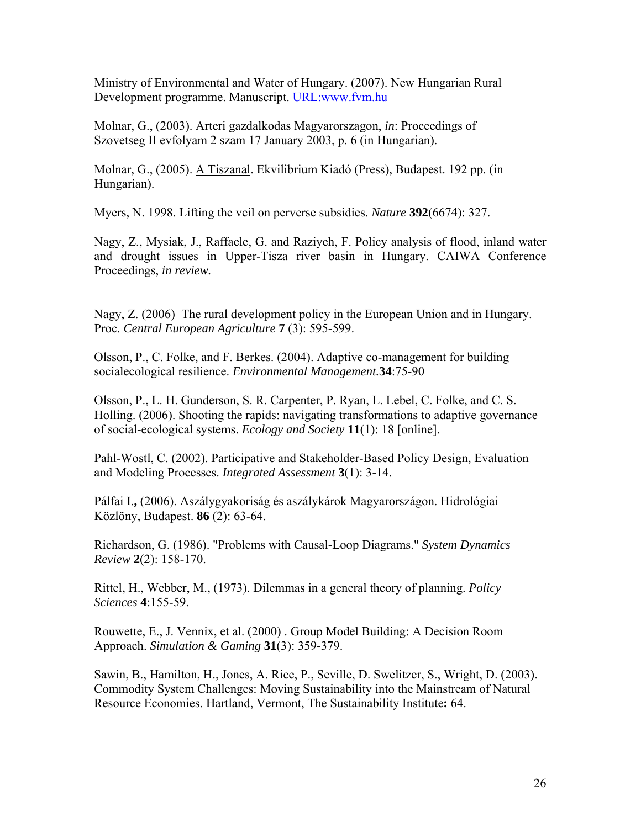Ministry of Environmental and Water of Hungary. (2007). New Hungarian Rural Development programme. Manuscript. URL:www.fvm.hu

Molnar, G., (2003). Arteri gazdalkodas Magyarorszagon, *in*: Proceedings of Szovetseg II evfolyam 2 szam 17 January 2003, p. 6 (in Hungarian).

Molnar, G., (2005). A Tiszanal. Ekvilibrium Kiadó (Press), Budapest. 192 pp. (in Hungarian).

Myers, N. 1998. Lifting the veil on perverse subsidies. *Nature* **392**(6674): 327.

Nagy, Z., Mysiak, J., Raffaele, G. and Raziyeh, F. Policy analysis of flood, inland water and drought issues in Upper-Tisza river basin in Hungary. CAIWA Conference Proceedings, *in review.*

Nagy, Z. (2006) The rural development policy in the European Union and in Hungary. Proc. *Central European Agriculture* **7** (3): 595-599.

Olsson, P., C. Folke, and F. Berkes. (2004). Adaptive co-management for building socialecological resilience. *Environmental Management.***34**:75-90

Olsson, P., L. H. Gunderson, S. R. Carpenter, P. Ryan, L. Lebel, C. Folke, and C. S. Holling. (2006). Shooting the rapids: navigating transformations to adaptive governance of social-ecological systems. *Ecology and Society* **11**(1): 18 [online].

Pahl-Wostl, C. (2002). Participative and Stakeholder-Based Policy Design, Evaluation and Modeling Processes. *Integrated Assessment* **3**(1): 3-14.

Pálfai I.**,** (2006). Aszálygyakoriság és aszálykárok Magyarországon. Hidrológiai Közlöny, Budapest. **86** (2): 63-64.

Richardson, G. (1986). "Problems with Causal-Loop Diagrams." *System Dynamics Review* **2**(2): 158-170.

Rittel, H., Webber, M., (1973). Dilemmas in a general theory of planning. *Policy Sciences* **4**:155-59.

Rouwette, E., J. Vennix, et al. (2000) . Group Model Building: A Decision Room Approach. *Simulation & Gaming* **31**(3): 359-379.

Sawin, B., Hamilton, H., Jones, A. Rice, P., Seville, D. Swelitzer, S., Wright, D. (2003). Commodity System Challenges: Moving Sustainability into the Mainstream of Natural Resource Economies. Hartland, Vermont, The Sustainability Institute**:** 64.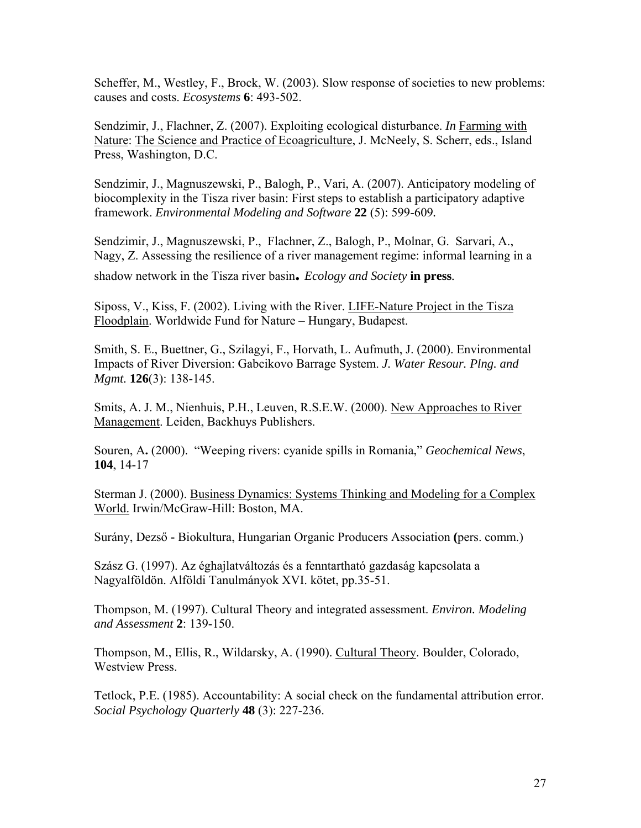Scheffer, M., Westley, F., Brock, W. (2003). Slow response of societies to new problems: causes and costs. *Ecosystems* **6**: 493-502.

Sendzimir, J., Flachner, Z. (2007). Exploiting ecological disturbance. *In* Farming with Nature: The Science and Practice of Ecoagriculture, J. McNeely, S. Scherr, eds., Island Press, Washington, D.C.

Sendzimir, J., Magnuszewski, P., Balogh, P., Vari, A. (2007). Anticipatory modeling of biocomplexity in the Tisza river basin: First steps to establish a participatory adaptive framework. *Environmental Modeling and Software* **22** (5): 599-609*.*

Sendzimir, J., Magnuszewski, P., Flachner, Z., Balogh, P., Molnar, G. Sarvari, A., Nagy, Z. Assessing the resilience of a river management regime: informal learning in a

shadow network in the Tisza river basin**.** *Ecology and Society* **in press***.*

Siposs, V., Kiss, F. (2002). Living with the River. LIFE-Nature Project in the Tisza Floodplain. Worldwide Fund for Nature – Hungary, Budapest.

Smith, S. E., Buettner, G., Szilagyi, F., Horvath, L. Aufmuth, J. (2000). Environmental Impacts of River Diversion: Gabcikovo Barrage System. *J. Water Resour. Plng. and Mgmt.* **126**(3): 138-145.

Smits, A. J. M., Nienhuis, P.H., Leuven, R.S.E.W. (2000). New Approaches to River Management. Leiden, Backhuys Publishers.

Souren, A**.** (2000). "Weeping rivers: cyanide spills in Romania," *Geochemical News*, **104**, 14-17

Sterman J. (2000). Business Dynamics: Systems Thinking and Modeling for a Complex World. Irwin/McGraw-Hill: Boston, MA.

Surány, Dezső **-** Biokultura, Hungarian Organic Producers Association **(**pers. comm.)

Szász G. (1997). Az éghajlatváltozás és a fenntartható gazdaság kapcsolata a Nagyalföldön. Alföldi Tanulmányok XVI. kötet, pp.35-51.

Thompson, M. (1997). Cultural Theory and integrated assessment. *Environ. Modeling and Assessment* **2**: 139-150.

Thompson, M., Ellis, R., Wildarsky, A. (1990). Cultural Theory. Boulder, Colorado, Westview Press.

Tetlock, P.E. (1985). Accountability: A social check on the fundamental attribution error. *Social Psychology Quarterly* **48** (3): 227-236.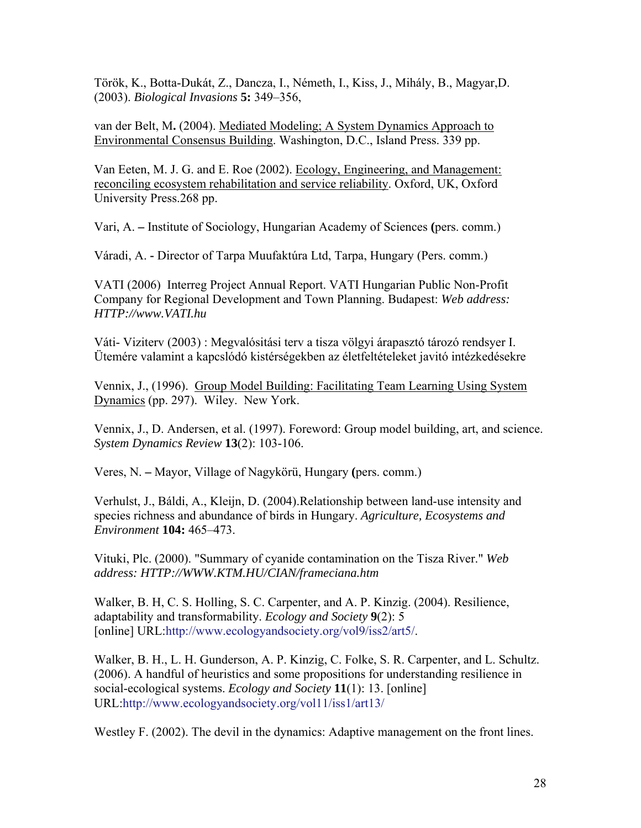Török, K., Botta-Dukát, Z., Dancza, I., Németh, I., Kiss, J., Mihály, B., Magyar,D. (2003). *Biological Invasions* **5:** 349–356,

van der Belt, M**.** (2004). Mediated Modeling; A System Dynamics Approach to Environmental Consensus Building. Washington, D.C., Island Press. 339 pp.

Van Eeten, M. J. G. and E. Roe (2002). Ecology, Engineering, and Management: reconciling ecosystem rehabilitation and service reliability. Oxford, UK, Oxford University Press.268 pp.

Vari, A. **–** Institute of Sociology, Hungarian Academy of Sciences **(**pers. comm.)

Váradi, A. **-** Director of Tarpa Muufaktúra Ltd, Tarpa, Hungary (Pers. comm.)

VATI (2006) Interreg Project Annual Report. VATI Hungarian Public Non-Profit Company for Regional Development and Town Planning. Budapest: *Web address: HTTP://www.VATI.hu*

Váti- Viziterv (2003) : Megvalósitási terv a tisza völgyi árapasztó tározó rendsyer I. Ütemére valamint a kapcslódó kistérségekben az életfeltételeket javitó intézkedésekre

Vennix, J., (1996). Group Model Building: Facilitating Team Learning Using System Dynamics (pp. 297). Wiley. New York.

Vennix, J., D. Andersen, et al. (1997). Foreword: Group model building, art, and science. *System Dynamics Review* **13**(2): 103-106.

Veres, N. **–** Mayor, Village of Nagykörü, Hungary **(**pers. comm.)

Verhulst, J., Báldi, A., Kleijn, D. (2004).Relationship between land-use intensity and species richness and abundance of birds in Hungary. *Agriculture, Ecosystems and Environment* **104:** 465–473.

Vituki, Plc. (2000). "Summary of cyanide contamination on the Tisza River." *Web address: HTTP://WWW.KTM.HU/CIAN/frameciana.htm*

Walker, B. H, C. S. Holling, S. C. Carpenter, and A. P. Kinzig. (2004). Resilience, adaptability and transformability. *Ecology and Society* **9**(2): 5 [online] URL:http://www.ecologyandsociety.org/vol9/iss2/art5/.

Walker, B. H., L. H. Gunderson, A. P. Kinzig, C. Folke, S. R. Carpenter, and L. Schultz. (2006). A handful of heuristics and some propositions for understanding resilience in social-ecological systems. *Ecology and Society* **11**(1): 13. [online] URL:http://www.ecologyandsociety.org/vol11/iss1/art13/

Westley F. (2002). The devil in the dynamics: Adaptive management on the front lines.